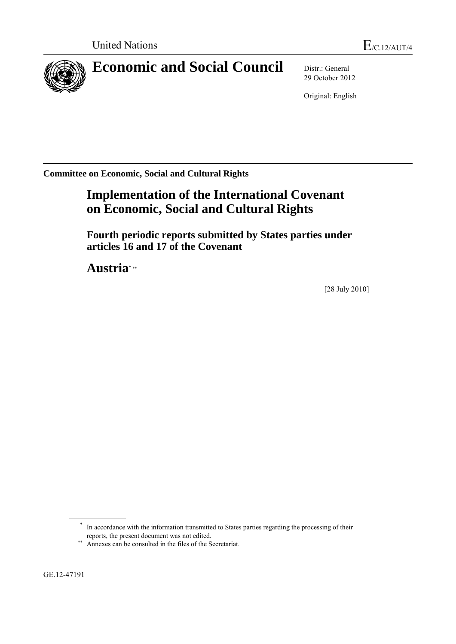

**Economic and Social Council** Distr.: General

29 October 2012

Original: English

**Committee on Economic, Social and Cultural Rights**

# **Implementation of the International Covenant on Economic, Social and Cultural Rights**

**Fourth periodic reports submitted by States parties under articles 16 and 17 of the Covenant** 

**Austria\***

[28 July 2010]

**\*** In accordance with the information transmitted to States parties regarding the processing of their reports, the present document was not edited.

GE.12-47191

<sup>\*\*</sup> Annexes can be consulted in the files of the Secretariat.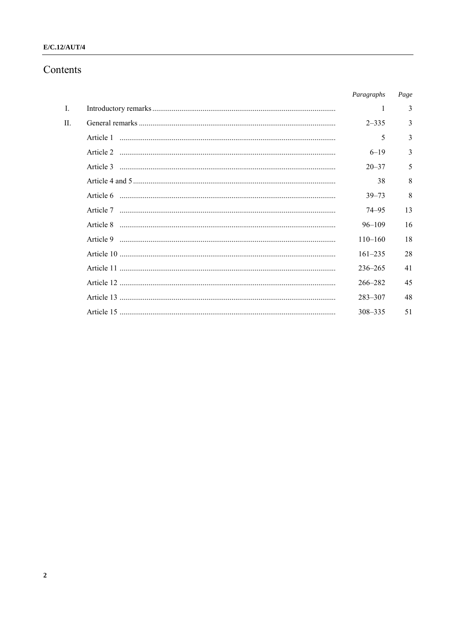# $E/C.12/AUT/4$

# Contents

|    | Paragraphs  | Page         |
|----|-------------|--------------|
| L  | 1           | 3            |
| H. | $2 - 335$   | 3            |
|    | 5           | $\mathbf{3}$ |
|    | $6 - 19$    | 3            |
|    | $20 - 37$   | 5            |
|    | 38          | 8            |
|    | $39 - 73$   | 8            |
|    | $74 - 95$   | 13           |
|    | $96 - 109$  | 16           |
|    | $110 - 160$ | 18           |
|    | $161 - 235$ | 28           |
|    | $236 - 265$ | 41           |
|    | $266 - 282$ | 45           |
|    | $283 - 307$ | 48           |
|    | 308-335     | 51           |
|    |             |              |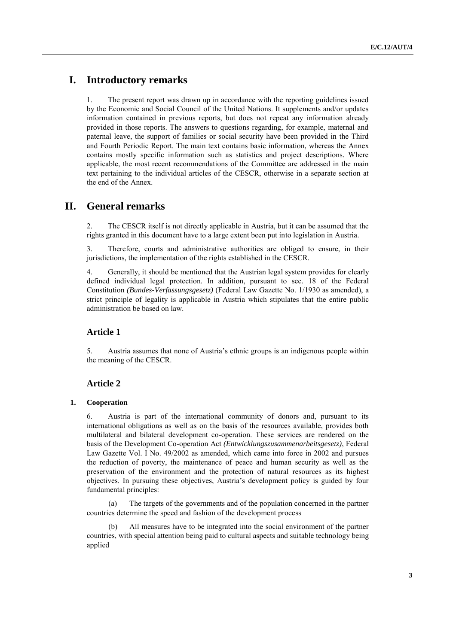# **I. Introductory remarks**

1. The present report was drawn up in accordance with the reporting guidelines issued by the Economic and Social Council of the United Nations. It supplements and/or updates information contained in previous reports, but does not repeat any information already provided in those reports. The answers to questions regarding, for example, maternal and paternal leave, the support of families or social security have been provided in the Third and Fourth Periodic Report. The main text contains basic information, whereas the Annex contains mostly specific information such as statistics and project descriptions. Where applicable, the most recent recommendations of the Committee are addressed in the main text pertaining to the individual articles of the CESCR, otherwise in a separate section at the end of the Annex.

# **II. General remarks**

2. The CESCR itself is not directly applicable in Austria, but it can be assumed that the rights granted in this document have to a large extent been put into legislation in Austria.

3. Therefore, courts and administrative authorities are obliged to ensure, in their jurisdictions, the implementation of the rights established in the CESCR.

4. Generally, it should be mentioned that the Austrian legal system provides for clearly defined individual legal protection. In addition, pursuant to sec. 18 of the Federal Constitution *(Bundes-Verfassungsgesetz)* (Federal Law Gazette No. 1/1930 as amended), a strict principle of legality is applicable in Austria which stipulates that the entire public administration be based on law.

# **Article 1**

5. Austria assumes that none of Austria's ethnic groups is an indigenous people within the meaning of the CESCR.

# **Article 2**

#### **1. Cooperation**

6. Austria is part of the international community of donors and, pursuant to its international obligations as well as on the basis of the resources available, provides both multilateral and bilateral development co-operation. These services are rendered on the basis of the Development Co-operation Act *(Entwicklungszusammenarbeitsgesetz)*, Federal Law Gazette Vol. I No. 49/2002 as amended, which came into force in 2002 and pursues the reduction of poverty, the maintenance of peace and human security as well as the preservation of the environment and the protection of natural resources as its highest objectives. In pursuing these objectives, Austria's development policy is guided by four fundamental principles:

(a) The targets of the governments and of the population concerned in the partner countries determine the speed and fashion of the development process

(b) All measures have to be integrated into the social environment of the partner countries, with special attention being paid to cultural aspects and suitable technology being applied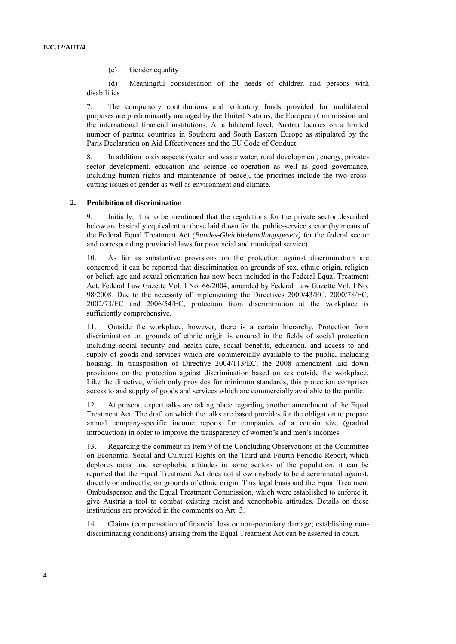(c) Gender equality

(d) Meaningful consideration of the needs of children and persons with disabilities

7. The compulsory contributions and voluntary funds provided for multilateral purposes are predominantly managed by the United Nations, the European Commission and the international financial institutions. At a bilateral level, Austria focuses on a limited number of partner countries in Southern and South Eastern Europe as stipulated by the Paris Declaration on Aid Effectiveness and the EU Code of Conduct.

8. In addition to six aspects (water and waste water, rural development, energy, privatesector development, education and science co-operation as well as good governance, including human rights and maintenance of peace), the priorities include the two crosscutting issues of gender as well as environment and climate.

#### **2. Prohibition of discrimination**

9. Initially, it is to be mentioned that the regulations for the private sector described below are basically equivalent to those laid down for the public-service sector (by means of the Federal Equal Treatment Act *(Bundes-Gleichbehandlungsgesetz)* for the federal sector and corresponding provincial laws for provincial and municipal service).

10. As far as substantive provisions on the protection against discrimination are concerned, it can be reported that discrimination on grounds of sex, ethnic origin, religion or belief, age and sexual orientation has now been included in the Federal Equal Treatment Act, Federal Law Gazette Vol. I No. 66/2004, amended by Federal Law Gazette Vol. I No. 98/2008. Due to the necessity of implementing the Directives 2000/43/EC, 2000/78/EC, 2002/73/EC and 2006/54/EC, protection from discrimination at the workplace is sufficiently comprehensive.

11. Outside the workplace, however, there is a certain hierarchy. Protection from discrimination on grounds of ethnic origin is ensured in the fields of social protection including social security and health care, social benefits, education, and access to and supply of goods and services which are commercially available to the public, including housing. In transposition of Directive 2004/113/EC, the 2008 amendment laid down provisions on the protection against discrimination based on sex outside the workplace. Like the directive, which only provides for minimum standards, this protection comprises access to and supply of goods and services which are commercially available to the public.

12. At present, expert talks are taking place regarding another amendment of the Equal Treatment Act. The draft on which the talks are based provides for the obligation to prepare annual company-specific income reports for companies of a certain size (gradual introduction) in order to improve the transparency of women's and men's incomes.

13. Regarding the comment in Item 9 of the Concluding Observations of the Committee on Economic, Social and Cultural Rights on the Third and Fourth Periodic Report, which deplores racist and xenophobic attitudes in some sectors of the population, it can be reported that the Equal Treatment Act does not allow anybody to be discriminated against, directly or indirectly, on grounds of ethnic origin. This legal basis and the Equal Treatment Ombudsperson and the Equal Treatment Commission, which were established to enforce it, give Austria a tool to combat existing racist and xenophobic attitudes. Details on these institutions are provided in the comments on Art. 3.

14. Claims (compensation of financial loss or non-pecuniary damage; establishing nondiscriminating conditions) arising from the Equal Treatment Act can be asserted in court.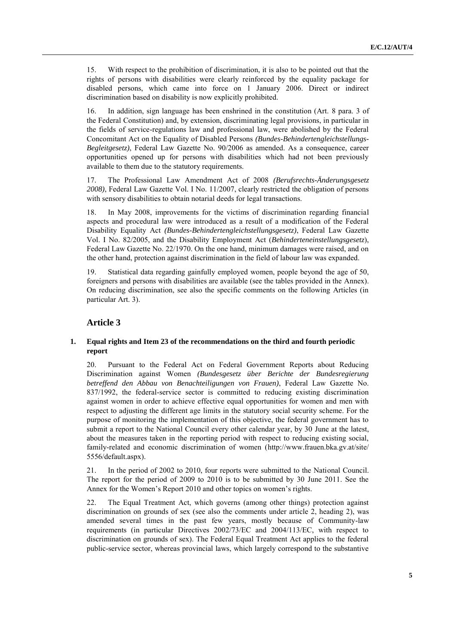15. With respect to the prohibition of discrimination, it is also to be pointed out that the rights of persons with disabilities were clearly reinforced by the equality package for disabled persons, which came into force on 1 January 2006. Direct or indirect discrimination based on disability is now explicitly prohibited.

16. In addition, sign language has been enshrined in the constitution (Art. 8 para. 3 of the Federal Constitution) and, by extension, discriminating legal provisions, in particular in the fields of service-regulations law and professional law, were abolished by the Federal Concomitant Act on the Equality of Disabled Persons *(Bundes-Behindertengleichstellungs-Begleitgesetz)*, Federal Law Gazette No. 90/2006 as amended. As a consequence, career opportunities opened up for persons with disabilities which had not been previously available to them due to the statutory requirements.

17. The Professional Law Amendment Act of 2008 *(Berufsrechts-Änderungsgesetz 2008)*, Federal Law Gazette Vol. I No. 11/2007, clearly restricted the obligation of persons with sensory disabilities to obtain notarial deeds for legal transactions.

18. In May 2008, improvements for the victims of discrimination regarding financial aspects and procedural law were introduced as a result of a modification of the Federal Disability Equality Act *(Bundes-Behindertengleichstellungsgesetz)*, Federal Law Gazette Vol. I No. 82/2005, and the Disability Employment Act (*Behinderteneinstellungsgesetz*), Federal Law Gazette No. 22/1970. On the one hand, minimum damages were raised, and on the other hand, protection against discrimination in the field of labour law was expanded.

19. Statistical data regarding gainfully employed women, people beyond the age of 50, foreigners and persons with disabilities are available (see the tables provided in the Annex). On reducing discrimination, see also the specific comments on the following Articles (in particular Art. 3).

# **Article 3**

# **1. Equal rights and Item 23 of the recommendations on the third and fourth periodic report**

20. Pursuant to the Federal Act on Federal Government Reports about Reducing Discrimination against Women *(Bundesgesetz über Berichte der Bundesregierung betreffend den Abbau von Benachteiligungen von Frauen)*, Federal Law Gazette No. 837/1992, the federal-service sector is committed to reducing existing discrimination against women in order to achieve effective equal opportunities for women and men with respect to adjusting the different age limits in the statutory social security scheme. For the purpose of monitoring the implementation of this objective, the federal government has to submit a report to the National Council every other calendar year, by 30 June at the latest, about the measures taken in the reporting period with respect to reducing existing social, family-related and economic discrimination of women (http://www.frauen.bka.gv.at/site/ 5556/default.aspx).

21. In the period of 2002 to 2010, four reports were submitted to the National Council. The report for the period of 2009 to 2010 is to be submitted by 30 June 2011. See the Annex for the Women's Report 2010 and other topics on women's rights.

22. The Equal Treatment Act, which governs (among other things) protection against discrimination on grounds of sex (see also the comments under article 2, heading 2), was amended several times in the past few years, mostly because of Community-law requirements (in particular Directives 2002/73/EC and 2004/113/EC, with respect to discrimination on grounds of sex). The Federal Equal Treatment Act applies to the federal public-service sector, whereas provincial laws, which largely correspond to the substantive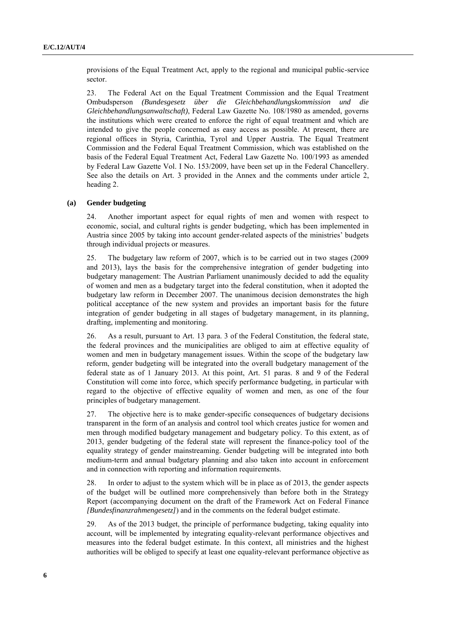provisions of the Equal Treatment Act, apply to the regional and municipal public-service sector.

23. The Federal Act on the Equal Treatment Commission and the Equal Treatment Ombudsperson *(Bundesgesetz über die Gleichbehandlungskommission und die Gleichbehandlungsanwaltschaft)*, Federal Law Gazette No. 108/1980 as amended, governs the institutions which were created to enforce the right of equal treatment and which are intended to give the people concerned as easy access as possible. At present, there are regional offices in Styria, Carinthia, Tyrol and Upper Austria. The Equal Treatment Commission and the Federal Equal Treatment Commission, which was established on the basis of the Federal Equal Treatment Act, Federal Law Gazette No. 100/1993 as amended by Federal Law Gazette Vol. I No. 153/2009, have been set up in the Federal Chancellery. See also the details on Art. 3 provided in the Annex and the comments under article 2, heading 2.

#### **(a) Gender budgeting**

24. Another important aspect for equal rights of men and women with respect to economic, social, and cultural rights is gender budgeting, which has been implemented in Austria since 2005 by taking into account gender-related aspects of the ministries' budgets through individual projects or measures.

25. The budgetary law reform of 2007, which is to be carried out in two stages (2009 and 2013), lays the basis for the comprehensive integration of gender budgeting into budgetary management: The Austrian Parliament unanimously decided to add the equality of women and men as a budgetary target into the federal constitution, when it adopted the budgetary law reform in December 2007. The unanimous decision demonstrates the high political acceptance of the new system and provides an important basis for the future integration of gender budgeting in all stages of budgetary management, in its planning, drafting, implementing and monitoring.

26. As a result, pursuant to Art. 13 para. 3 of the Federal Constitution, the federal state, the federal provinces and the municipalities are obliged to aim at effective equality of women and men in budgetary management issues. Within the scope of the budgetary law reform, gender budgeting will be integrated into the overall budgetary management of the federal state as of 1 January 2013. At this point, Art. 51 paras. 8 and 9 of the Federal Constitution will come into force, which specify performance budgeting, in particular with regard to the objective of effective equality of women and men, as one of the four principles of budgetary management.

27. The objective here is to make gender-specific consequences of budgetary decisions transparent in the form of an analysis and control tool which creates justice for women and men through modified budgetary management and budgetary policy. To this extent, as of 2013, gender budgeting of the federal state will represent the finance-policy tool of the equality strategy of gender mainstreaming. Gender budgeting will be integrated into both medium-term and annual budgetary planning and also taken into account in enforcement and in connection with reporting and information requirements.

28. In order to adjust to the system which will be in place as of 2013, the gender aspects of the budget will be outlined more comprehensively than before both in the Strategy Report (accompanying document on the draft of the Framework Act on Federal Finance *[Bundesfinanzrahmengesetz]*) and in the comments on the federal budget estimate.

29. As of the 2013 budget, the principle of performance budgeting, taking equality into account, will be implemented by integrating equality-relevant performance objectives and measures into the federal budget estimate. In this context, all ministries and the highest authorities will be obliged to specify at least one equality-relevant performance objective as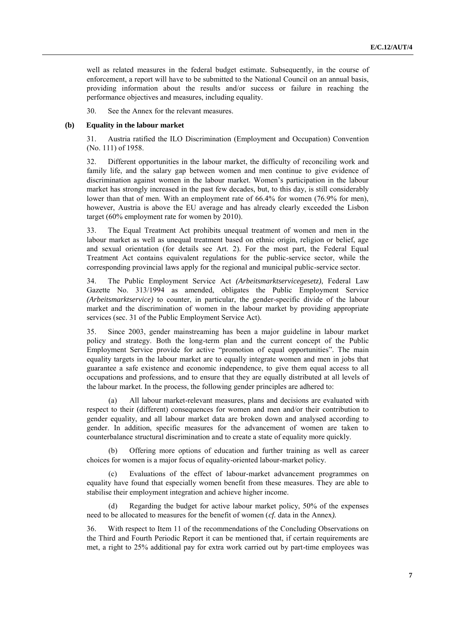well as related measures in the federal budget estimate. Subsequently, in the course of enforcement, a report will have to be submitted to the National Council on an annual basis, providing information about the results and/or success or failure in reaching the performance objectives and measures, including equality.

30. See the Annex for the relevant measures.

#### **(b) Equality in the labour market**

31. Austria ratified the ILO Discrimination (Employment and Occupation) Convention (No. 111) of 1958.

32. Different opportunities in the labour market, the difficulty of reconciling work and family life, and the salary gap between women and men continue to give evidence of discrimination against women in the labour market. Women's participation in the labour market has strongly increased in the past few decades, but, to this day, is still considerably lower than that of men. With an employment rate of 66.4% for women (76.9% for men), however, Austria is above the EU average and has already clearly exceeded the Lisbon target (60% employment rate for women by 2010).

33. The Equal Treatment Act prohibits unequal treatment of women and men in the labour market as well as unequal treatment based on ethnic origin, religion or belief, age and sexual orientation (for details see Art. 2). For the most part, the Federal Equal Treatment Act contains equivalent regulations for the public-service sector, while the corresponding provincial laws apply for the regional and municipal public-service sector.

34. The Public Employment Service Act *(Arbeitsmarktservicegesetz)*, Federal Law Gazette No. 313/1994 as amended, obligates the Public Employment Service *(Arbeitsmarktservice)* to counter, in particular, the gender-specific divide of the labour market and the discrimination of women in the labour market by providing appropriate services (sec. 31 of the Public Employment Service Act).

35. Since 2003, gender mainstreaming has been a major guideline in labour market policy and strategy. Both the long-term plan and the current concept of the Public Employment Service provide for active "promotion of equal opportunities". The main equality targets in the labour market are to equally integrate women and men in jobs that guarantee a safe existence and economic independence, to give them equal access to all occupations and professions, and to ensure that they are equally distributed at all levels of the labour market. In the process, the following gender principles are adhered to:

(a) All labour market-relevant measures, plans and decisions are evaluated with respect to their (different) consequences for women and men and/or their contribution to gender equality, and all labour market data are broken down and analysed according to gender. In addition, specific measures for the advancement of women are taken to counterbalance structural discrimination and to create a state of equality more quickly.

(b) Offering more options of education and further training as well as career choices for women is a major focus of equality-oriented labour-market policy.

Evaluations of the effect of labour-market advancement programmes on equality have found that especially women benefit from these measures. They are able to stabilise their employment integration and achieve higher income.

Regarding the budget for active labour market policy, 50% of the expenses need to be allocated to measures for the benefit of women (*cf.* data in the Annex*).*

36. With respect to Item 11 of the recommendations of the Concluding Observations on the Third and Fourth Periodic Report it can be mentioned that, if certain requirements are met, a right to 25% additional pay for extra work carried out by part-time employees was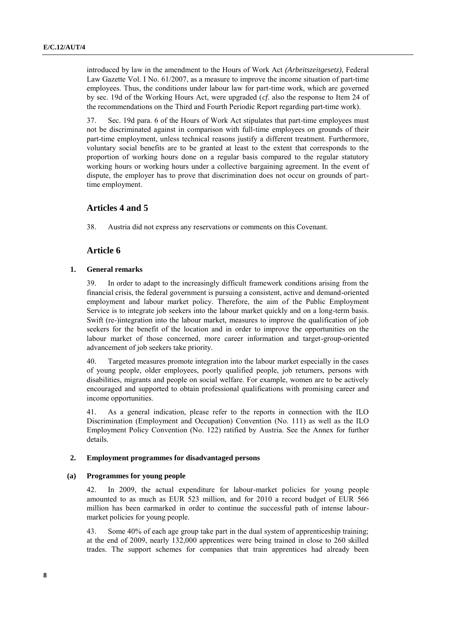introduced by law in the amendment to the Hours of Work Act *(Arbeitszeitgesetz)*, Federal Law Gazette Vol. I No. 61/2007, as a measure to improve the income situation of part-time employees. Thus, the conditions under labour law for part-time work, which are governed by sec. 19d of the Working Hours Act, were upgraded (*cf.* also the response to Item 24 of the recommendations on the Third and Fourth Periodic Report regarding part-time work).

37. Sec. 19d para. 6 of the Hours of Work Act stipulates that part-time employees must not be discriminated against in comparison with full-time employees on grounds of their part-time employment, unless technical reasons justify a different treatment. Furthermore, voluntary social benefits are to be granted at least to the extent that corresponds to the proportion of working hours done on a regular basis compared to the regular statutory working hours or working hours under a collective bargaining agreement. In the event of dispute, the employer has to prove that discrimination does not occur on grounds of parttime employment.

# **Articles 4 and 5**

38. Austria did not express any reservations or comments on this Covenant.

# **Article 6**

#### **1. General remarks**

39. In order to adapt to the increasingly difficult framework conditions arising from the financial crisis, the federal government is pursuing a consistent, active and demand-oriented employment and labour market policy. Therefore, the aim of the Public Employment Service is to integrate job seekers into the labour market quickly and on a long-term basis. Swift (re-)integration into the labour market, measures to improve the qualification of job seekers for the benefit of the location and in order to improve the opportunities on the labour market of those concerned, more career information and target-group-oriented advancement of job seekers take priority.

40. Targeted measures promote integration into the labour market especially in the cases of young people, older employees, poorly qualified people, job returners, persons with disabilities, migrants and people on social welfare. For example, women are to be actively encouraged and supported to obtain professional qualifications with promising career and income opportunities.

41. As a general indication, please refer to the reports in connection with the ILO Discrimination (Employment and Occupation) Convention (No. 111) as well as the ILO Employment Policy Convention (No. 122) ratified by Austria. See the Annex for further details.

# **2. Employment programmes for disadvantaged persons**

#### **(a) Programmes for young people**

42. In 2009, the actual expenditure for labour-market policies for young people amounted to as much as EUR 523 million, and for 2010 a record budget of EUR 566 million has been earmarked in order to continue the successful path of intense labourmarket policies for young people.

43. Some 40% of each age group take part in the dual system of apprenticeship training; at the end of 2009, nearly 132,000 apprentices were being trained in close to 260 skilled trades. The support schemes for companies that train apprentices had already been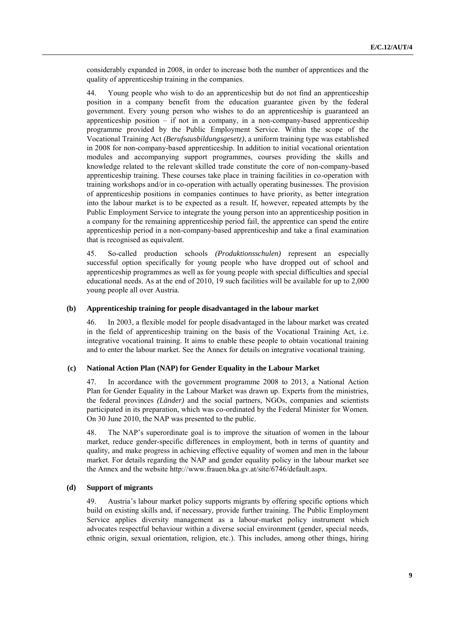considerably expanded in 2008, in order to increase both the number of apprentices and the quality of apprenticeship training in the companies.

44. Young people who wish to do an apprenticeship but do not find an apprenticeship position in a company benefit from the education guarantee given by the federal government. Every young person who wishes to do an apprenticeship is guaranteed an apprenticeship position – if not in a company, in a non-company-based apprenticeship programme provided by the Public Employment Service. Within the scope of the Vocational Training Act *(Berufsausbildungsgesetz)*, a uniform training type was established in 2008 for non-company-based apprenticeship. In addition to initial vocational orientation modules and accompanying support programmes, courses providing the skills and knowledge related to the relevant skilled trade constitute the core of non-company-based apprenticeship training. These courses take place in training facilities in co-operation with training workshops and/or in co-operation with actually operating businesses. The provision of apprenticeship positions in companies continues to have priority, as better integration into the labour market is to be expected as a result. If, however, repeated attempts by the Public Employment Service to integrate the young person into an apprenticeship position in a company for the remaining apprenticeship period fail, the apprentice can spend the entire apprenticeship period in a non-company-based apprenticeship and take a final examination that is recognised as equivalent.

45. So-called production schools *(Produktionsschulen)* represent an especially successful option specifically for young people who have dropped out of school and apprenticeship programmes as well as for young people with special difficulties and special educational needs. As at the end of 2010, 19 such facilities will be available for up to 2,000 young people all over Austria.

#### **(b) Apprenticeship training for people disadvantaged in the labour market**

46. In 2003, a flexible model for people disadvantaged in the labour market was created in the field of apprenticeship training on the basis of the Vocational Training Act, i.e. integrative vocational training. It aims to enable these people to obtain vocational training and to enter the labour market. See the Annex for details on integrative vocational training.

# **(c) National Action Plan (NAP) for Gender Equality in the Labour Market**

47. In accordance with the government programme 2008 to 2013, a National Action Plan for Gender Equality in the Labour Market was drawn up. Experts from the ministries, the federal provinces *(Länder)* and the social partners, NGOs, companies and scientists participated in its preparation, which was co-ordinated by the Federal Minister for Women. On 30 June 2010, the NAP was presented to the public.

48. The NAP's superordinate goal is to improve the situation of women in the labour market, reduce gender-specific differences in employment, both in terms of quantity and quality, and make progress in achieving effective equality of women and men in the labour market. For details regarding the NAP and gender equality policy in the labour market see the Annex and the website http://www.frauen.bka.gv.at/site/6746/default.aspx.

## **(d) Support of migrants**

49. Austria's labour market policy supports migrants by offering specific options which build on existing skills and, if necessary, provide further training. The Public Employment Service applies diversity management as a labour-market policy instrument which advocates respectful behaviour within a diverse social environment (gender, special needs, ethnic origin, sexual orientation, religion, etc.). This includes, among other things, hiring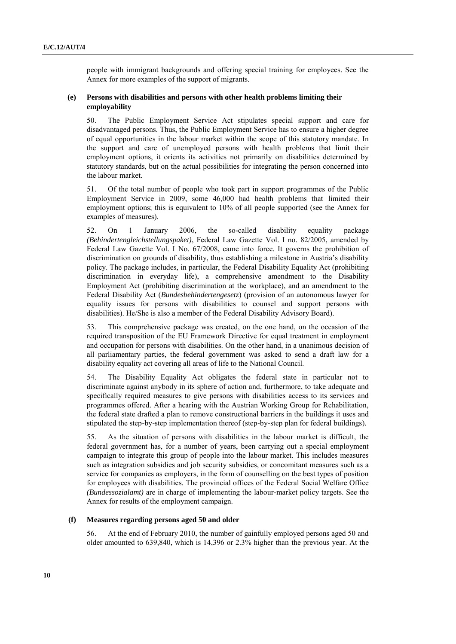people with immigrant backgrounds and offering special training for employees. See the Annex for more examples of the support of migrants.

# **(e) Persons with disabilities and persons with other health problems limiting their employability**

50. The Public Employment Service Act stipulates special support and care for disadvantaged persons. Thus, the Public Employment Service has to ensure a higher degree of equal opportunities in the labour market within the scope of this statutory mandate. In the support and care of unemployed persons with health problems that limit their employment options, it orients its activities not primarily on disabilities determined by statutory standards, but on the actual possibilities for integrating the person concerned into the labour market.

51. Of the total number of people who took part in support programmes of the Public Employment Service in 2009, some 46,000 had health problems that limited their employment options; this is equivalent to 10% of all people supported (see the Annex for examples of measures).

52. On 1 January 2006, the so-called disability equality package *(Behindertengleichstellungspaket)*, Federal Law Gazette Vol. I no. 82/2005, amended by Federal Law Gazette Vol. I No. 67/2008, came into force. It governs the prohibition of discrimination on grounds of disability, thus establishing a milestone in Austria's disability policy. The package includes, in particular, the Federal Disability Equality Act (prohibiting discrimination in everyday life), a comprehensive amendment to the Disability Employment Act (prohibiting discrimination at the workplace), and an amendment to the Federal Disability Act (*Bundesbehindertengesetz*) (provision of an autonomous lawyer for equality issues for persons with disabilities to counsel and support persons with disabilities). He/She is also a member of the Federal Disability Advisory Board).

53. This comprehensive package was created, on the one hand, on the occasion of the required transposition of the EU Framework Directive for equal treatment in employment and occupation for persons with disabilities. On the other hand, in a unanimous decision of all parliamentary parties, the federal government was asked to send a draft law for a disability equality act covering all areas of life to the National Council.

54. The Disability Equality Act obligates the federal state in particular not to discriminate against anybody in its sphere of action and, furthermore, to take adequate and specifically required measures to give persons with disabilities access to its services and programmes offered. After a hearing with the Austrian Working Group for Rehabilitation, the federal state drafted a plan to remove constructional barriers in the buildings it uses and stipulated the step-by-step implementation thereof (step-by-step plan for federal buildings).

55. As the situation of persons with disabilities in the labour market is difficult, the federal government has, for a number of years, been carrying out a special employment campaign to integrate this group of people into the labour market. This includes measures such as integration subsidies and job security subsidies, or concomitant measures such as a service for companies as employers, in the form of counselling on the best types of position for employees with disabilities. The provincial offices of the Federal Social Welfare Office *(Bundessozialamt)* are in charge of implementing the labour-market policy targets. See the Annex for results of the employment campaign.

# **(f) Measures regarding persons aged 50 and older**

56. At the end of February 2010, the number of gainfully employed persons aged 50 and older amounted to 639,840, which is 14,396 or 2.3% higher than the previous year. At the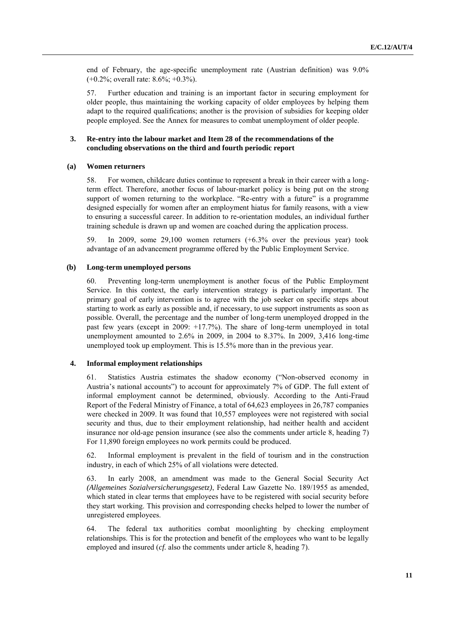end of February, the age-specific unemployment rate (Austrian definition) was 9.0% (+0.2%; overall rate: 8.6%; +0.3%).

57. Further education and training is an important factor in securing employment for older people, thus maintaining the working capacity of older employees by helping them adapt to the required qualifications; another is the provision of subsidies for keeping older people employed. See the Annex for measures to combat unemployment of older people.

# **3. Re-entry into the labour market and Item 28 of the recommendations of the concluding observations on the third and fourth periodic report**

#### **(a) Women returners**

58. For women, childcare duties continue to represent a break in their career with a longterm effect. Therefore, another focus of labour-market policy is being put on the strong support of women returning to the workplace. "Re-entry with a future" is a programme designed especially for women after an employment hiatus for family reasons, with a view to ensuring a successful career. In addition to re-orientation modules, an individual further training schedule is drawn up and women are coached during the application process.

59. In 2009, some 29,100 women returners (+6.3% over the previous year) took advantage of an advancement programme offered by the Public Employment Service.

## **(b) Long-term unemployed persons**

60. Preventing long-term unemployment is another focus of the Public Employment Service. In this context, the early intervention strategy is particularly important. The primary goal of early intervention is to agree with the job seeker on specific steps about starting to work as early as possible and, if necessary, to use support instruments as soon as possible. Overall, the percentage and the number of long-term unemployed dropped in the past few years (except in 2009: +17.7%). The share of long-term unemployed in total unemployment amounted to 2.6% in 2009, in 2004 to 8.37%. In 2009, 3,416 long-time unemployed took up employment. This is 15.5% more than in the previous year.

# **4. Informal employment relationships**

61. Statistics Austria estimates the shadow economy ("Non-observed economy in Austria's national accounts") to account for approximately 7% of GDP. The full extent of informal employment cannot be determined, obviously. According to the Anti-Fraud Report of the Federal Ministry of Finance, a total of 64,623 employees in 26,787 companies were checked in 2009. It was found that 10,557 employees were not registered with social security and thus, due to their employment relationship, had neither health and accident insurance nor old-age pension insurance (see also the comments under article 8, heading 7) For 11,890 foreign employees no work permits could be produced.

62. Informal employment is prevalent in the field of tourism and in the construction industry, in each of which 25% of all violations were detected.

63. In early 2008, an amendment was made to the General Social Security Act *(Allgemeines Sozialversicherungsgesetz)*, Federal Law Gazette No. 189/1955 as amended, which stated in clear terms that employees have to be registered with social security before they start working. This provision and corresponding checks helped to lower the number of unregistered employees.

64. The federal tax authorities combat moonlighting by checking employment relationships. This is for the protection and benefit of the employees who want to be legally employed and insured (*cf.* also the comments under article 8, heading 7).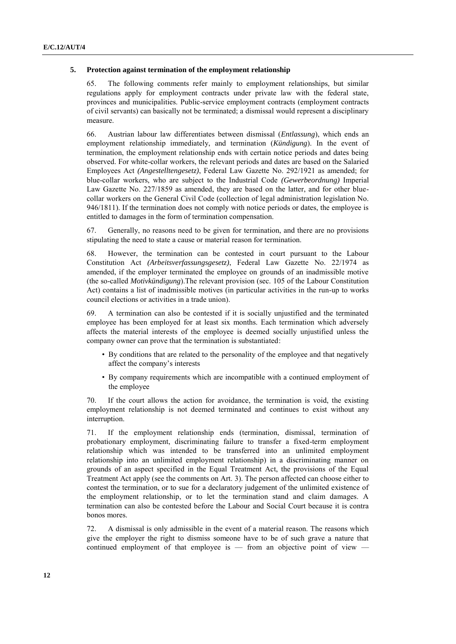#### **5. Protection against termination of the employment relationship**

65. The following comments refer mainly to employment relationships, but similar regulations apply for employment contracts under private law with the federal state, provinces and municipalities. Public-service employment contracts (employment contracts of civil servants) can basically not be terminated; a dismissal would represent a disciplinary measure.

66. Austrian labour law differentiates between dismissal (*Entlassung*), which ends an employment relationship immediately, and termination (*Kündigung*). In the event of termination, the employment relationship ends with certain notice periods and dates being observed. For white-collar workers, the relevant periods and dates are based on the Salaried Employees Act *(Angestelltengesetz)*, Federal Law Gazette No. 292/1921 as amended; for blue-collar workers, who are subject to the Industrial Code *(Gewerbeordnung)* Imperial Law Gazette No. 227/1859 as amended, they are based on the latter, and for other bluecollar workers on the General Civil Code (collection of legal administration legislation No. 946/1811). If the termination does not comply with notice periods or dates, the employee is entitled to damages in the form of termination compensation.

67. Generally, no reasons need to be given for termination, and there are no provisions stipulating the need to state a cause or material reason for termination.

68. However, the termination can be contested in court pursuant to the Labour Constitution Act *(Arbeitsverfassungsgesetz)*, Federal Law Gazette No. 22/1974 as amended, if the employer terminated the employee on grounds of an inadmissible motive (the so-called *Motivkündigung*).The relevant provision (sec. 105 of the Labour Constitution Act) contains a list of inadmissible motives (in particular activities in the run-up to works council elections or activities in a trade union).

69. A termination can also be contested if it is socially unjustified and the terminated employee has been employed for at least six months. Each termination which adversely affects the material interests of the employee is deemed socially unjustified unless the company owner can prove that the termination is substantiated:

- By conditions that are related to the personality of the employee and that negatively affect the company's interests
- By company requirements which are incompatible with a continued employment of the employee

70. If the court allows the action for avoidance, the termination is void, the existing employment relationship is not deemed terminated and continues to exist without any interruption.

71. If the employment relationship ends (termination, dismissal, termination of probationary employment, discriminating failure to transfer a fixed-term employment relationship which was intended to be transferred into an unlimited employment relationship into an unlimited employment relationship) in a discriminating manner on grounds of an aspect specified in the Equal Treatment Act, the provisions of the Equal Treatment Act apply (see the comments on Art. 3). The person affected can choose either to contest the termination, or to sue for a declaratory judgement of the unlimited existence of the employment relationship, or to let the termination stand and claim damages. A termination can also be contested before the Labour and Social Court because it is contra bonos mores.

72. A dismissal is only admissible in the event of a material reason. The reasons which give the employer the right to dismiss someone have to be of such grave a nature that continued employment of that employee is — from an objective point of view —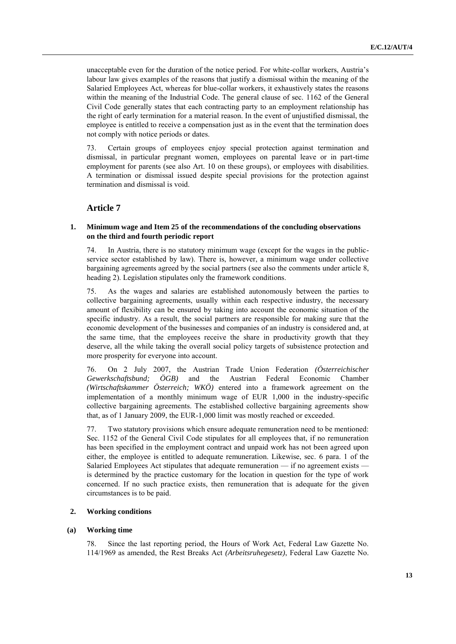unacceptable even for the duration of the notice period. For white-collar workers, Austria's labour law gives examples of the reasons that justify a dismissal within the meaning of the Salaried Employees Act, whereas for blue-collar workers, it exhaustively states the reasons within the meaning of the Industrial Code. The general clause of sec. 1162 of the General Civil Code generally states that each contracting party to an employment relationship has the right of early termination for a material reason. In the event of unjustified dismissal, the employee is entitled to receive a compensation just as in the event that the termination does not comply with notice periods or dates.

73. Certain groups of employees enjoy special protection against termination and dismissal, in particular pregnant women, employees on parental leave or in part-time employment for parents (see also Art. 10 on these groups), or employees with disabilities. A termination or dismissal issued despite special provisions for the protection against termination and dismissal is void.

# **Article 7**

# **1. Minimum wage and Item 25 of the recommendations of the concluding observations on the third and fourth periodic report**

74. In Austria, there is no statutory minimum wage (except for the wages in the publicservice sector established by law). There is, however, a minimum wage under collective bargaining agreements agreed by the social partners (see also the comments under article 8, heading 2). Legislation stipulates only the framework conditions.

75. As the wages and salaries are established autonomously between the parties to collective bargaining agreements, usually within each respective industry, the necessary amount of flexibility can be ensured by taking into account the economic situation of the specific industry. As a result, the social partners are responsible for making sure that the economic development of the businesses and companies of an industry is considered and, at the same time, that the employees receive the share in productivity growth that they deserve, all the while taking the overall social policy targets of subsistence protection and more prosperity for everyone into account.

76. On 2 July 2007, the Austrian Trade Union Federation *(Österreichischer Gewerkschaftsbund; ÖGB)* and the Austrian Federal Economic Chamber *(Wirtschaftskammer Österreich; WKÖ)* entered into a framework agreement on the implementation of a monthly minimum wage of EUR 1,000 in the industry-specific collective bargaining agreements. The established collective bargaining agreements show that, as of 1 January 2009, the EUR-1,000 limit was mostly reached or exceeded.

77. Two statutory provisions which ensure adequate remuneration need to be mentioned: Sec. 1152 of the General Civil Code stipulates for all employees that, if no remuneration has been specified in the employment contract and unpaid work has not been agreed upon either, the employee is entitled to adequate remuneration. Likewise, sec. 6 para. 1 of the Salaried Employees Act stipulates that adequate remuneration — if no agreement exists is determined by the practice customary for the location in question for the type of work concerned. If no such practice exists, then remuneration that is adequate for the given circumstances is to be paid.

# **2. Working conditions**

# **(a) Working time**

78. Since the last reporting period, the Hours of Work Act, Federal Law Gazette No. 114/1969 as amended, the Rest Breaks Act *(Arbeitsruhegesetz)*, Federal Law Gazette No.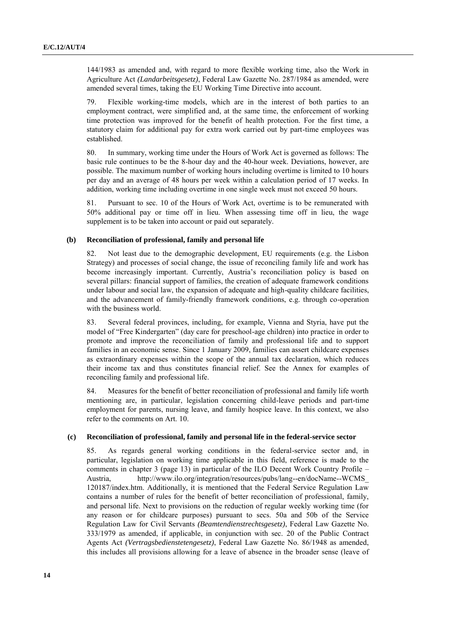144/1983 as amended and, with regard to more flexible working time, also the Work in Agriculture Act *(Landarbeitsgesetz)*, Federal Law Gazette No. 287/1984 as amended, were amended several times, taking the EU Working Time Directive into account.

79. Flexible working-time models, which are in the interest of both parties to an employment contract, were simplified and, at the same time, the enforcement of working time protection was improved for the benefit of health protection. For the first time, a statutory claim for additional pay for extra work carried out by part-time employees was established.

80. In summary, working time under the Hours of Work Act is governed as follows: The basic rule continues to be the 8-hour day and the 40-hour week. Deviations, however, are possible. The maximum number of working hours including overtime is limited to 10 hours per day and an average of 48 hours per week within a calculation period of 17 weeks. In addition, working time including overtime in one single week must not exceed 50 hours.

81. Pursuant to sec. 10 of the Hours of Work Act, overtime is to be remunerated with 50% additional pay or time off in lieu. When assessing time off in lieu, the wage supplement is to be taken into account or paid out separately.

#### **(b) Reconciliation of professional, family and personal life**

82. Not least due to the demographic development, EU requirements (e.g. the Lisbon Strategy) and processes of social change, the issue of reconciling family life and work has become increasingly important. Currently, Austria's reconciliation policy is based on several pillars: financial support of families, the creation of adequate framework conditions under labour and social law, the expansion of adequate and high-quality childcare facilities, and the advancement of family-friendly framework conditions, e.g. through co-operation with the business world.

83. Several federal provinces, including, for example, Vienna and Styria, have put the model of "Free Kindergarten" (day care for preschool-age children) into practice in order to promote and improve the reconciliation of family and professional life and to support families in an economic sense. Since 1 January 2009, families can assert childcare expenses as extraordinary expenses within the scope of the annual tax declaration, which reduces their income tax and thus constitutes financial relief. See the Annex for examples of reconciling family and professional life.

84. Measures for the benefit of better reconciliation of professional and family life worth mentioning are, in particular, legislation concerning child-leave periods and part-time employment for parents, nursing leave, and family hospice leave. In this context, we also refer to the comments on Art. 10.

#### **(c) Reconciliation of professional, family and personal life in the federal-service sector**

85. As regards general working conditions in the federal-service sector and, in particular, legislation on working time applicable in this field, reference is made to the comments in chapter 3 (page 13) in particular of the ILO Decent Work Country Profile – Austria, http://www.ilo.org/integration/resources/pubs/lang--en/docName--WCMS\_ 120187/index.htm. Additionally, it is mentioned that the Federal Service Regulation Law contains a number of rules for the benefit of better reconciliation of professional, family, and personal life. Next to provisions on the reduction of regular weekly working time (for any reason or for childcare purposes) pursuant to secs. 50a and 50b of the Service Regulation Law for Civil Servants *(Beamtendienstrechtsgesetz)*, Federal Law Gazette No. 333/1979 as amended, if applicable, in conjunction with sec. 20 of the Public Contract Agents Act *(Vertragsbedienstetengesetz)*, Federal Law Gazette No. 86/1948 as amended, this includes all provisions allowing for a leave of absence in the broader sense (leave of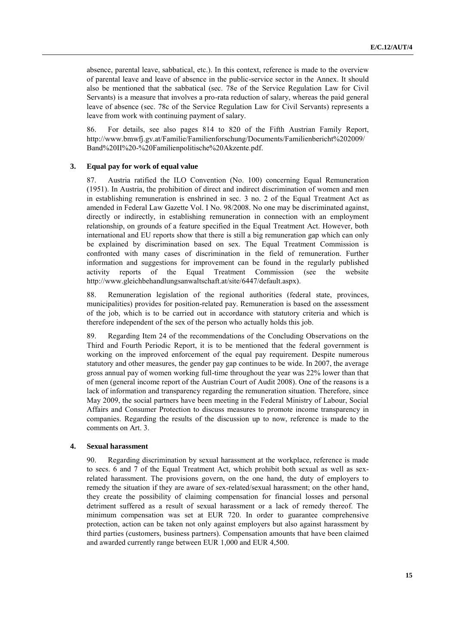absence, parental leave, sabbatical, etc.). In this context, reference is made to the overview of parental leave and leave of absence in the public-service sector in the Annex. It should also be mentioned that the sabbatical (sec. 78e of the Service Regulation Law for Civil Servants) is a measure that involves a pro-rata reduction of salary, whereas the paid general leave of absence (sec. 78c of the Service Regulation Law for Civil Servants) represents a leave from work with continuing payment of salary.

86. For details, see also pages 814 to 820 of the Fifth Austrian Family Report, [http://www.bmwfj.gv.at/Familie/Familienforschung/Documents/Familienbericht%202009/](http://www.bmwfj.gv.at/Familie/Familienforschung/Documents/Familienbericht%202009/Band%20II%20-%20Familienpolitische%20Akzente.pdf) [Band%20II%20-%20Familienpolitische%20Akzente.pdf.](http://www.bmwfj.gv.at/Familie/Familienforschung/Documents/Familienbericht%202009/Band%20II%20-%20Familienpolitische%20Akzente.pdf)

## **3. Equal pay for work of equal value**

87. Austria ratified the ILO Convention (No. 100) concerning Equal Remuneration (1951). In Austria, the prohibition of direct and indirect discrimination of women and men in establishing remuneration is enshrined in sec. 3 no. 2 of the Equal Treatment Act as amended in Federal Law Gazette Vol. I No. 98/2008. No one may be discriminated against, directly or indirectly, in establishing remuneration in connection with an employment relationship, on grounds of a feature specified in the Equal Treatment Act. However, both international and EU reports show that there is still a big remuneration gap which can only be explained by discrimination based on sex. The Equal Treatment Commission is confronted with many cases of discrimination in the field of remuneration. Further information and suggestions for improvement can be found in the regularly published activity reports of the Equal Treatment Commission (see the website activity reports of the Equal Treatment Commission (see the website http://www.gleichbehandlungsanwaltschaft.at/site/6447/default.aspx).

88. Remuneration legislation of the regional authorities (federal state, provinces, municipalities) provides for position-related pay. Remuneration is based on the assessment of the job, which is to be carried out in accordance with statutory criteria and which is therefore independent of the sex of the person who actually holds this job.

89. Regarding Item 24 of the recommendations of the Concluding Observations on the Third and Fourth Periodic Report, it is to be mentioned that the federal government is working on the improved enforcement of the equal pay requirement. Despite numerous statutory and other measures, the gender pay gap continues to be wide. In 2007, the average gross annual pay of women working full-time throughout the year was 22% lower than that of men (general income report of the Austrian Court of Audit 2008). One of the reasons is a lack of information and transparency regarding the remuneration situation. Therefore, since May 2009, the social partners have been meeting in the Federal Ministry of Labour, Social Affairs and Consumer Protection to discuss measures to promote income transparency in companies. Regarding the results of the discussion up to now, reference is made to the comments on Art. 3.

# **4. Sexual harassment**

90. Regarding discrimination by sexual harassment at the workplace, reference is made to secs. 6 and 7 of the Equal Treatment Act, which prohibit both sexual as well as sexrelated harassment. The provisions govern, on the one hand, the duty of employers to remedy the situation if they are aware of sex-related/sexual harassment; on the other hand, they create the possibility of claiming compensation for financial losses and personal detriment suffered as a result of sexual harassment or a lack of remedy thereof. The minimum compensation was set at EUR 720. In order to guarantee comprehensive protection, action can be taken not only against employers but also against harassment by third parties (customers, business partners). Compensation amounts that have been claimed and awarded currently range between EUR 1,000 and EUR 4,500.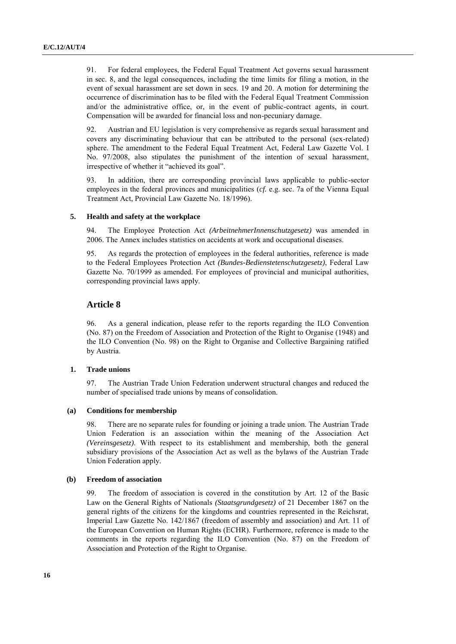91. For federal employees, the Federal Equal Treatment Act governs sexual harassment in sec. 8, and the legal consequences, including the time limits for filing a motion, in the event of sexual harassment are set down in secs. 19 and 20. A motion for determining the occurrence of discrimination has to be filed with the Federal Equal Treatment Commission and/or the administrative office, or, in the event of public-contract agents, in court. Compensation will be awarded for financial loss and non-pecuniary damage.

92. Austrian and EU legislation is very comprehensive as regards sexual harassment and covers any discriminating behaviour that can be attributed to the personal (sex-related) sphere. The amendment to the Federal Equal Treatment Act, Federal Law Gazette Vol. I No. 97/2008, also stipulates the punishment of the intention of sexual harassment, irrespective of whether it "achieved its goal".

93. In addition, there are corresponding provincial laws applicable to public-sector employees in the federal provinces and municipalities (*cf.* e.g. sec. 7a of the Vienna Equal Treatment Act, Provincial Law Gazette No. 18/1996).

#### **5. Health and safety at the workplace**

94. The Employee Protection Act *(ArbeitnehmerInnenschutzgesetz)* was amended in 2006. The Annex includes statistics on accidents at work and occupational diseases.

95. As regards the protection of employees in the federal authorities, reference is made to the Federal Employees Protection Act *(Bundes-Bedienstetenschutzgesetz)*, Federal Law Gazette No. 70/1999 as amended. For employees of provincial and municipal authorities, corresponding provincial laws apply.

# **Article 8**

96. As a general indication, please refer to the reports regarding the ILO Convention (No. 87) on the Freedom of Association and Protection of the Right to Organise (1948) and the ILO Convention (No. 98) on the Right to Organise and Collective Bargaining ratified by Austria.

#### **1. Trade unions**

97. The Austrian Trade Union Federation underwent structural changes and reduced the number of specialised trade unions by means of consolidation.

#### **(a) Conditions for membership**

98. There are no separate rules for founding or joining a trade union. The Austrian Trade Union Federation is an association within the meaning of the Association Act *(Vereinsgesetz)*. With respect to its establishment and membership, both the general subsidiary provisions of the Association Act as well as the bylaws of the Austrian Trade Union Federation apply.

#### **(b) Freedom of association**

99. The freedom of association is covered in the constitution by Art. 12 of the Basic Law on the General Rights of Nationals *(Staatsgrundgesetz)* of 21 December 1867 on the general rights of the citizens for the kingdoms and countries represented in the Reichsrat, Imperial Law Gazette No. 142/1867 (freedom of assembly and association) and Art. 11 of the European Convention on Human Rights (ECHR). Furthermore, reference is made to the comments in the reports regarding the ILO Convention (No. 87) on the Freedom of Association and Protection of the Right to Organise.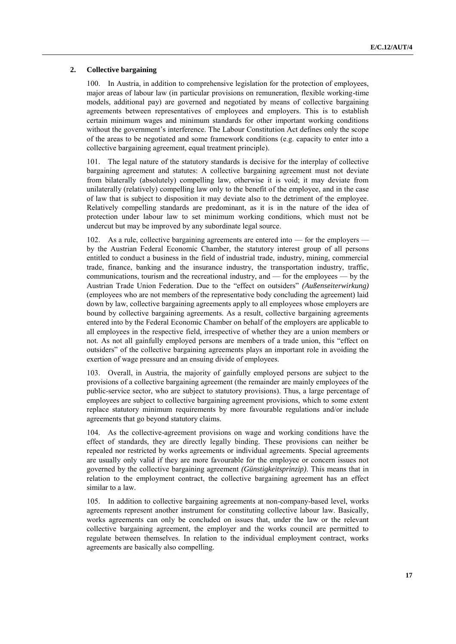# **2. Collective bargaining**

100. In Austria, in addition to comprehensive legislation for the protection of employees, major areas of labour law (in particular provisions on remuneration, flexible working-time models, additional pay) are governed and negotiated by means of collective bargaining agreements between representatives of employees and employers. This is to establish certain minimum wages and minimum standards for other important working conditions without the government's interference. The Labour Constitution Act defines only the scope of the areas to be negotiated and some framework conditions (e.g. capacity to enter into a collective bargaining agreement, equal treatment principle).

101. The legal nature of the statutory standards is decisive for the interplay of collective bargaining agreement and statutes: A collective bargaining agreement must not deviate from bilaterally (absolutely) compelling law, otherwise it is void; it may deviate from unilaterally (relatively) compelling law only to the benefit of the employee, and in the case of law that is subject to disposition it may deviate also to the detriment of the employee. Relatively compelling standards are predominant, as it is in the nature of the idea of protection under labour law to set minimum working conditions, which must not be undercut but may be improved by any subordinate legal source.

102. As a rule, collective bargaining agreements are entered into — for the employers by the Austrian Federal Economic Chamber, the statutory interest group of all persons entitled to conduct a business in the field of industrial trade, industry, mining, commercial trade, finance, banking and the insurance industry, the transportation industry, traffic, communications, tourism and the recreational industry, and — for the employees — by the Austrian Trade Union Federation. Due to the "effect on outsiders" *(Außenseiterwirkung)* (employees who are not members of the representative body concluding the agreement) laid down by law, collective bargaining agreements apply to all employees whose employers are bound by collective bargaining agreements. As a result, collective bargaining agreements entered into by the Federal Economic Chamber on behalf of the employers are applicable to all employees in the respective field, irrespective of whether they are a union members or not. As not all gainfully employed persons are members of a trade union, this "effect on outsiders‖ of the collective bargaining agreements plays an important role in avoiding the exertion of wage pressure and an ensuing divide of employees.

103. Overall, in Austria, the majority of gainfully employed persons are subject to the provisions of a collective bargaining agreement (the remainder are mainly employees of the public-service sector, who are subject to statutory provisions). Thus, a large percentage of employees are subject to collective bargaining agreement provisions, which to some extent replace statutory minimum requirements by more favourable regulations and/or include agreements that go beyond statutory claims.

104. As the collective-agreement provisions on wage and working conditions have the effect of standards, they are directly legally binding. These provisions can neither be repealed nor restricted by works agreements or individual agreements. Special agreements are usually only valid if they are more favourable for the employee or concern issues not governed by the collective bargaining agreement *(Günstigkeitsprinzip)*. This means that in relation to the employment contract, the collective bargaining agreement has an effect similar to a law.

105. In addition to collective bargaining agreements at non-company-based level, works agreements represent another instrument for constituting collective labour law. Basically, works agreements can only be concluded on issues that, under the law or the relevant collective bargaining agreement, the employer and the works council are permitted to regulate between themselves. In relation to the individual employment contract, works agreements are basically also compelling.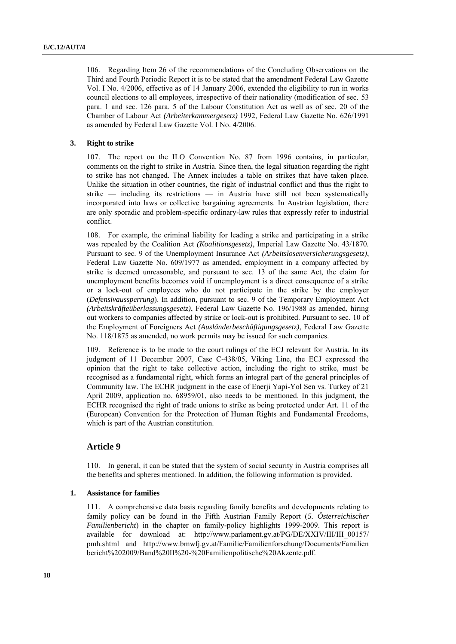106. Regarding Item 26 of the recommendations of the Concluding Observations on the Third and Fourth Periodic Report it is to be stated that the amendment Federal Law Gazette Vol. I No. 4/2006, effective as of 14 January 2006, extended the eligibility to run in works council elections to all employees, irrespective of their nationality (modification of sec. 53 para. 1 and sec. 126 para. 5 of the Labour Constitution Act as well as of sec. 20 of the Chamber of Labour Act *(Arbeiterkammergesetz)* 1992, Federal Law Gazette No. 626/1991 as amended by Federal Law Gazette Vol. I No. 4/2006.

#### **3. Right to strike**

107. The report on the ILO Convention No. 87 from 1996 contains, in particular, comments on the right to strike in Austria. Since then, the legal situation regarding the right to strike has not changed. The Annex includes a table on strikes that have taken place. Unlike the situation in other countries, the right of industrial conflict and thus the right to strike — including its restrictions — in Austria have still not been systematically incorporated into laws or collective bargaining agreements. In Austrian legislation, there are only sporadic and problem-specific ordinary-law rules that expressly refer to industrial conflict.

108. For example, the criminal liability for leading a strike and participating in a strike was repealed by the Coalition Act *(Koalitionsgesetz)*, Imperial Law Gazette No. 43/1870. Pursuant to sec. 9 of the Unemployment Insurance Act *(Arbeitslosenversicherungsgesetz)*, Federal Law Gazette No. 609/1977 as amended, employment in a company affected by strike is deemed unreasonable, and pursuant to sec. 13 of the same Act, the claim for unemployment benefits becomes void if unemployment is a direct consequence of a strike or a lock-out of employees who do not participate in the strike by the employer (*Defensivaussperrung*). In addition, pursuant to sec. 9 of the Temporary Employment Act *(Arbeitskräfteüberlassungsgesetz)*, Federal Law Gazette No. 196/1988 as amended, hiring out workers to companies affected by strike or lock-out is prohibited. Pursuant to sec. 10 of the Employment of Foreigners Act *(Ausländerbeschäftigungsgesetz)*, Federal Law Gazette No. 118/1875 as amended, no work permits may be issued for such companies.

109. Reference is to be made to the court rulings of the ECJ relevant for Austria. In its judgment of 11 December 2007, Case C-438/05, Viking Line, the ECJ expressed the opinion that the right to take collective action, including the right to strike, must be recognised as a fundamental right, which forms an integral part of the general principles of Community law. The ECHR judgment in the case of Enerji Yapi-Yol Sen vs. Turkey of 21 April 2009, application no. 68959/01, also needs to be mentioned. In this judgment, the ECHR recognised the right of trade unions to strike as being protected under Art. 11 of the (European) Convention for the Protection of Human Rights and Fundamental Freedoms, which is part of the Austrian constitution.

# **Article 9**

110. In general, it can be stated that the system of social security in Austria comprises all the benefits and spheres mentioned. In addition, the following information is provided.

## **1. Assistance for families**

111. A comprehensive data basis regarding family benefits and developments relating to family policy can be found in the Fifth Austrian Family Report (*5. Österreichischer Familienbericht*) in the chapter on family-policy highlights 1999-2009. This report is available for download at: [http://www.parlament.gv.at/PG/DE/XXIV/III/III\\_00157/](http://www.parlament.gv.at/PG/DE/XXIV/III/III_00157/%20pmh.shtml)  [pmh.shtml](http://www.parlament.gv.at/PG/DE/XXIV/III/III_00157/%20pmh.shtml) and http://www.bmwfj.gv.at/Familie/Familienforschung/Documents/Familien bericht%202009/Band%20II%20-%20Familienpolitische%20Akzente.pdf.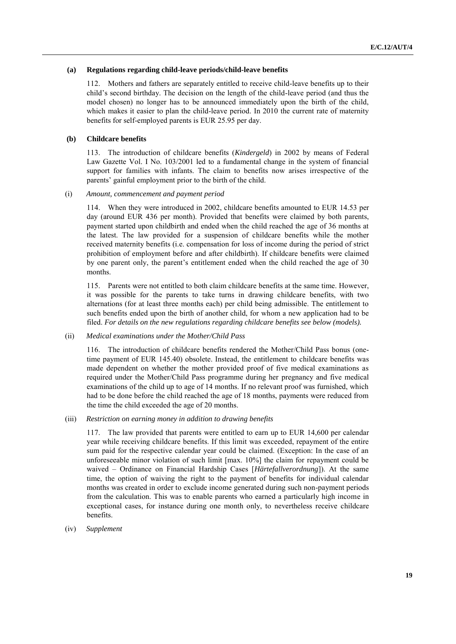# **(a) Regulations regarding child-leave periods/child-leave benefits**

112. Mothers and fathers are separately entitled to receive child-leave benefits up to their child's second birthday. The decision on the length of the child-leave period (and thus the model chosen) no longer has to be announced immediately upon the birth of the child, which makes it easier to plan the child-leave period. In 2010 the current rate of maternity benefits for self-employed parents is EUR 25.95 per day.

# **(b) Childcare benefits**

113. The introduction of childcare benefits (*Kindergeld*) in 2002 by means of Federal Law Gazette Vol. I No. 103/2001 led to a fundamental change in the system of financial support for families with infants. The claim to benefits now arises irrespective of the parents' gainful employment prior to the birth of the child.

# (i) *Amount, commencement and payment period*

114. When they were introduced in 2002, childcare benefits amounted to EUR 14.53 per day (around EUR 436 per month). Provided that benefits were claimed by both parents, payment started upon childbirth and ended when the child reached the age of 36 months at the latest. The law provided for a suspension of childcare benefits while the mother received maternity benefits (i.e. compensation for loss of income during the period of strict prohibition of employment before and after childbirth). If childcare benefits were claimed by one parent only, the parent's entitlement ended when the child reached the age of 30 months.

115. Parents were not entitled to both claim childcare benefits at the same time. However, it was possible for the parents to take turns in drawing childcare benefits, with two alternations (for at least three months each) per child being admissible. The entitlement to such benefits ended upon the birth of another child, for whom a new application had to be filed. *For details on the new regulations regarding childcare benefits see below (models).*

# (ii) *Medical examinations under the Mother/Child Pass*

116. The introduction of childcare benefits rendered the Mother/Child Pass bonus (onetime payment of EUR 145.40) obsolete. Instead, the entitlement to childcare benefits was made dependent on whether the mother provided proof of five medical examinations as required under the Mother/Child Pass programme during her pregnancy and five medical examinations of the child up to age of 14 months. If no relevant proof was furnished, which had to be done before the child reached the age of 18 months, payments were reduced from the time the child exceeded the age of 20 months.

## (iii) *Restriction on earning money in addition to drawing benefits*

117. The law provided that parents were entitled to earn up to EUR 14,600 per calendar year while receiving childcare benefits. If this limit was exceeded, repayment of the entire sum paid for the respective calendar year could be claimed. (Exception: In the case of an unforeseeable minor violation of such limit [max. 10%] the claim for repayment could be waived – Ordinance on Financial Hardship Cases [*Härtefallverordnung*]). At the same time, the option of waiving the right to the payment of benefits for individual calendar months was created in order to exclude income generated during such non-payment periods from the calculation. This was to enable parents who earned a particularly high income in exceptional cases, for instance during one month only, to nevertheless receive childcare benefits.

(iv) *Supplement*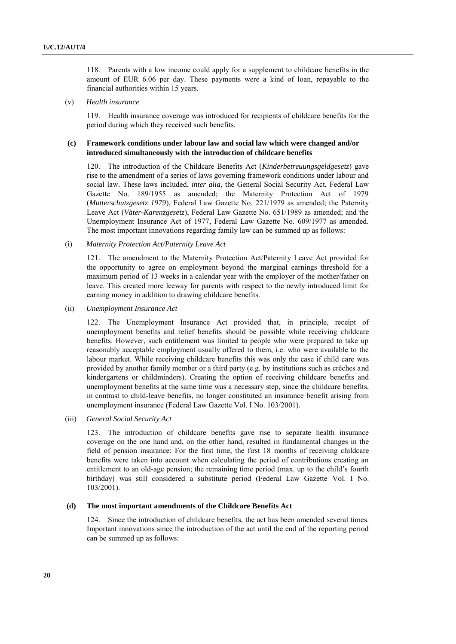118. Parents with a low income could apply for a supplement to childcare benefits in the amount of EUR 6.06 per day. These payments were a kind of loan, repayable to the financial authorities within 15 years.

## (v) *Health insurance*

119. Health insurance coverage was introduced for recipients of childcare benefits for the period during which they received such benefits.

# **(c) Framework conditions under labour law and social law which were changed and/or introduced simultaneously with the introduction of childcare benefits**

120. The introduction of the Childcare Benefits Act (*Kinderbetreuungsgeldgesetz*) gave rise to the amendment of a series of laws governing framework conditions under labour and social law. These laws included, *inter alia*, the General Social Security Act, Federal Law Gazette No. 189/1955 as amended; the Maternity Protection Act of 1979 (*Mutterschutzgesetz 1979*), Federal Law Gazette No. 221/1979 as amended; the Paternity Leave Act (*Väter-Karenzgesetz*), Federal Law Gazette No. 651/1989 as amended; and the Unemployment Insurance Act of 1977, Federal Law Gazette No. 609/1977 as amended. The most important innovations regarding family law can be summed up as follows:

#### (i) *Maternity Protection Act/Paternity Leave Act*

121. The amendment to the Maternity Protection Act/Paternity Leave Act provided for the opportunity to agree on employment beyond the marginal earnings threshold for a maximum period of 13 weeks in a calendar year with the employer of the mother/father on leave. This created more leeway for parents with respect to the newly introduced limit for earning money in addition to drawing childcare benefits.

(ii) *Unemployment Insurance Act* 

122. The Unemployment Insurance Act provided that, in principle, receipt of unemployment benefits and relief benefits should be possible while receiving childcare benefits. However, such entitlement was limited to people who were prepared to take up reasonably acceptable employment usually offered to them, i.e. who were available to the labour market. While receiving childcare benefits this was only the case if child care was provided by another family member or a third party (e.g. by institutions such as crèches and kindergartens or childminders). Creating the option of receiving childcare benefits and unemployment benefits at the same time was a necessary step, since the childcare benefits, in contrast to child-leave benefits, no longer constituted an insurance benefit arising from unemployment insurance (Federal Law Gazette Vol. I No. 103/2001).

(iii) *General Social Security Act*

123. The introduction of childcare benefits gave rise to separate health insurance coverage on the one hand and, on the other hand, resulted in fundamental changes in the field of pension insurance: For the first time, the first 18 months of receiving childcare benefits were taken into account when calculating the period of contributions creating an entitlement to an old-age pension; the remaining time period (max. up to the child's fourth birthday) was still considered a substitute period (Federal Law Gazette Vol. I No. 103/2001).

# **(d) The most important amendments of the Childcare Benefits Act**

124. Since the introduction of childcare benefits, the act has been amended several times. Important innovations since the introduction of the act until the end of the reporting period can be summed up as follows: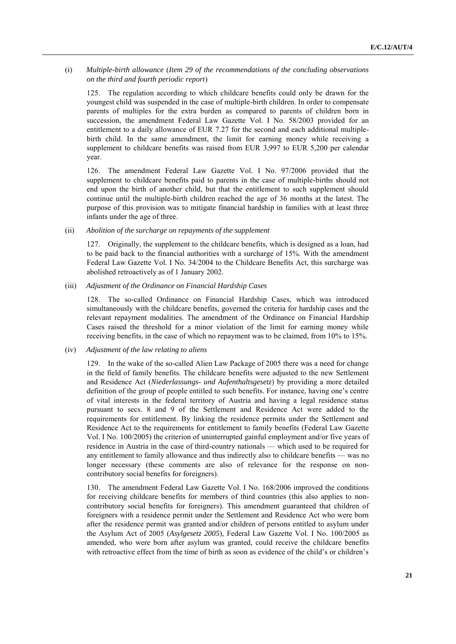# (i) *Multiple-birth allowance* (*Item 29 of the recommendations of the concluding observations on the third and fourth periodic report*)

125. The regulation according to which childcare benefits could only be drawn for the youngest child was suspended in the case of multiple-birth children. In order to compensate parents of multiples for the extra burden as compared to parents of children born in succession, the amendment Federal Law Gazette Vol. I No. 58/2003 provided for an entitlement to a daily allowance of EUR 7.27 for the second and each additional multiplebirth child. In the same amendment, the limit for earning money while receiving a supplement to childcare benefits was raised from EUR 3,997 to EUR 5,200 per calendar year.

126. The amendment Federal Law Gazette Vol. I No. 97/2006 provided that the supplement to childcare benefits paid to parents in the case of multiple-births should not end upon the birth of another child, but that the entitlement to such supplement should continue until the multiple-birth children reached the age of 36 months at the latest. The purpose of this provision was to mitigate financial hardship in families with at least three infants under the age of three.

# (ii) *Abolition of the surcharge on repayments of the supplement*

127. Originally, the supplement to the childcare benefits, which is designed as a loan, had to be paid back to the financial authorities with a surcharge of 15%. With the amendment Federal Law Gazette Vol. I No. 34/2004 to the Childcare Benefits Act, this surcharge was abolished retroactively as of 1 January 2002.

#### (iii) *Adjustment of the Ordinance on Financial Hardship Cases*

128. The so-called Ordinance on Financial Hardship Cases, which was introduced simultaneously with the childcare benefits, governed the criteria for hardship cases and the relevant repayment modalities. The amendment of the Ordinance on Financial Hardship Cases raised the threshold for a minor violation of the limit for earning money while receiving benefits, in the case of which no repayment was to be claimed, from 10% to 15%.

## (iv) *Adjustment of the law relating to aliens*

129. In the wake of the so-called Alien Law Package of 2005 there was a need for change in the field of family benefits. The childcare benefits were adjusted to the new Settlement and Residence Act (*Niederlassungs- und Aufenthaltsgesetz*) by providing a more detailed definition of the group of people entitled to such benefits. For instance, having one's centre of vital interests in the federal territory of Austria and having a legal residence status pursuant to secs. 8 and 9 of the Settlement and Residence Act were added to the requirements for entitlement. By linking the residence permits under the Settlement and Residence Act to the requirements for entitlement to family benefits (Federal Law Gazette Vol. I No. 100/2005) the criterion of uninterrupted gainful employment and/or five years of residence in Austria in the case of third-country nationals — which used to be required for any entitlement to family allowance and thus indirectly also to childcare benefits — was no longer necessary (these comments are also of relevance for the response on noncontributory social benefits for foreigners).

130. The amendment Federal Law Gazette Vol. I No. 168/2006 improved the conditions for receiving childcare benefits for members of third countries (this also applies to noncontributory social benefits for foreigners). This amendment guaranteed that children of foreigners with a residence permit under the Settlement and Residence Act who were born after the residence permit was granted and/or children of persons entitled to asylum under the Asylum Act of 2005 (*Asylgesetz 2005*), Federal Law Gazette Vol. I No. 100/2005 as amended, who were born after asylum was granted, could receive the childcare benefits with retroactive effect from the time of birth as soon as evidence of the child's or children's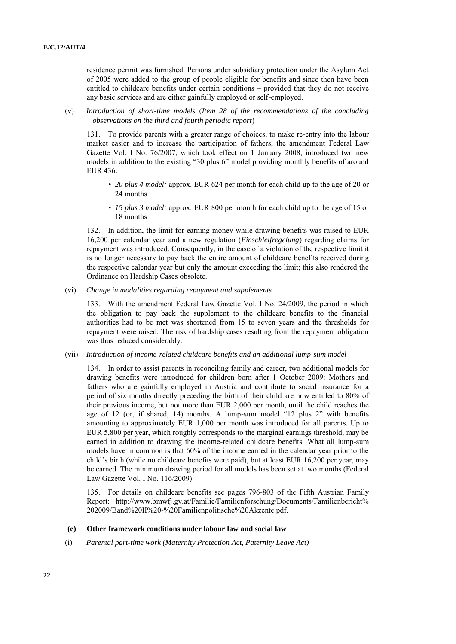residence permit was furnished. Persons under subsidiary protection under the Asylum Act of 2005 were added to the group of people eligible for benefits and since then have been entitled to childcare benefits under certain conditions – provided that they do not receive any basic services and are either gainfully employed or self-employed.

(v) *Introduction of short-time models* (*Item 28 of the recommendations of the concluding observations on the third and fourth periodic report*)

131. To provide parents with a greater range of choices, to make re-entry into the labour market easier and to increase the participation of fathers, the amendment Federal Law Gazette Vol. I No. 76/2007, which took effect on 1 January 2008, introduced two new models in addition to the existing "30 plus 6" model providing monthly benefits of around EUR 436:

- *20 plus 4 model:* approx. EUR 624 per month for each child up to the age of 20 or 24 months
- *15 plus 3 model:* approx. EUR 800 per month for each child up to the age of 15 or 18 months

132. In addition, the limit for earning money while drawing benefits was raised to EUR 16,200 per calendar year and a new regulation (*Einschleifregelung*) regarding claims for repayment was introduced. Consequently, in the case of a violation of the respective limit it is no longer necessary to pay back the entire amount of childcare benefits received during the respective calendar year but only the amount exceeding the limit; this also rendered the Ordinance on Hardship Cases obsolete.

(vi) *Change in modalities regarding repayment and supplements*

133. With the amendment Federal Law Gazette Vol. I No. 24/2009, the period in which the obligation to pay back the supplement to the childcare benefits to the financial authorities had to be met was shortened from 15 to seven years and the thresholds for repayment were raised. The risk of hardship cases resulting from the repayment obligation was thus reduced considerably.

(vii) *Introduction of income-related childcare benefits and an additional lump-sum model*

134. In order to assist parents in reconciling family and career, two additional models for drawing benefits were introduced for children born after 1 October 2009: Mothers and fathers who are gainfully employed in Austria and contribute to social insurance for a period of six months directly preceding the birth of their child are now entitled to 80% of their previous income, but not more than EUR 2,000 per month, until the child reaches the age of 12 (or, if shared, 14) months. A lump-sum model "12 plus 2" with benefits amounting to approximately EUR 1,000 per month was introduced for all parents. Up to EUR 5,800 per year, which roughly corresponds to the marginal earnings threshold, may be earned in addition to drawing the income-related childcare benefits. What all lump-sum models have in common is that 60% of the income earned in the calendar year prior to the child's birth (while no childcare benefits were paid), but at least EUR 16,200 per year, may be earned. The minimum drawing period for all models has been set at two months (Federal Law Gazette Vol. I No. 116/2009).

135. For details on childcare benefits see pages 796-803 of the Fifth Austrian Family Report: [http://www.bmwfj.gv.at/Familie/Familienforschung/Documents/Familienbericht%](http://www.bmwfj.gv.at/Familie/Familienforschung/Documents/Familienbericht%25%20202009/Band%20II%20-%20Familienpolitische%20Akzente.pdf)  [202009/Band%20II%20-%20Familienpolitische%20Akzente.pdf.](http://www.bmwfj.gv.at/Familie/Familienforschung/Documents/Familienbericht%25%20202009/Band%20II%20-%20Familienpolitische%20Akzente.pdf)

# **(e) Other framework conditions under labour law and social law**

(i) *Parental part-time work (Maternity Protection Act, Paternity Leave Act)*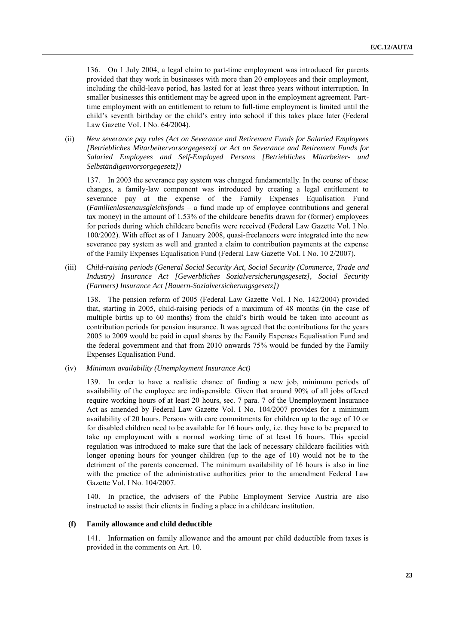136. On 1 July 2004, a legal claim to part-time employment was introduced for parents provided that they work in businesses with more than 20 employees and their employment, including the child-leave period, has lasted for at least three years without interruption. In smaller businesses this entitlement may be agreed upon in the employment agreement. Parttime employment with an entitlement to return to full-time employment is limited until the child's seventh birthday or the child's entry into school if this takes place later (Federal Law Gazette VoI. I No. 64/2004).

(ii) *New severance pay rules (Act on Severance and Retirement Funds for Salaried Employees [Betriebliches Mitarbeitervorsorgegesetz] or Act on Severance and Retirement Funds for Salaried Employees and Self-Employed Persons [Betriebliches Mitarbeiter- und Selbständigenvorsorgegesetz])*

137. In 2003 the severance pay system was changed fundamentally. In the course of these changes, a family-law component was introduced by creating a legal entitlement to severance pay at the expense of the Family Expenses Equalisation Fund (*Familienlastenausgleichsfonds* – a fund made up of employee contributions and general tax money) in the amount of 1.53% of the childcare benefits drawn for (former) employees for periods during which childcare benefits were received (Federal Law Gazette Vol. I No. 100/2002). With effect as of 1 January 2008, quasi-freelancers were integrated into the new severance pay system as well and granted a claim to contribution payments at the expense of the Family Expenses Equalisation Fund (Federal Law Gazette VoI. I No. 10 2/2007).

(iii) *Child-raising periods (General Social Security Act, Social Security (Commerce, Trade and Industry) Insurance Act [Gewerbliches Sozialversicherungsgesetz], Social Security (Farmers) Insurance Act [Bauern-Sozialversicherungsgesetz])*

138. The pension reform of 2005 (Federal Law Gazette VoI. I No. 142/2004) provided that, starting in 2005, child-raising periods of a maximum of 48 months (in the case of multiple births up to 60 months) from the child's birth would be taken into account as contribution periods for pension insurance. It was agreed that the contributions for the years 2005 to 2009 would be paid in equal shares by the Family Expenses Equalisation Fund and the federal government and that from 2010 onwards 75% would be funded by the Family Expenses Equalisation Fund.

(iv) *Minimum availability (Unemployment Insurance Act)*

139. In order to have a realistic chance of finding a new job, minimum periods of availability of the employee are indispensible. Given that around 90% of all jobs offered require working hours of at least 20 hours, sec. 7 para. 7 of the Unemployment Insurance Act as amended by Federal Law Gazette Vol. I No. 104/2007 provides for a minimum availability of 20 hours. Persons with care commitments for children up to the age of 10 or for disabled children need to be available for 16 hours only, i.e. they have to be prepared to take up employment with a normal working time of at least 16 hours. This special regulation was introduced to make sure that the lack of necessary childcare facilities with longer opening hours for younger children (up to the age of 10) would not be to the detriment of the parents concerned. The minimum availability of 16 hours is also in line with the practice of the administrative authorities prior to the amendment Federal Law Gazette Vol. I No. 104/2007.

140. In practice, the advisers of the Public Employment Service Austria are also instructed to assist their clients in finding a place in a childcare institution.

# **(f) Family allowance and child deductible**

141. Information on family allowance and the amount per child deductible from taxes is provided in the comments on Art. 10.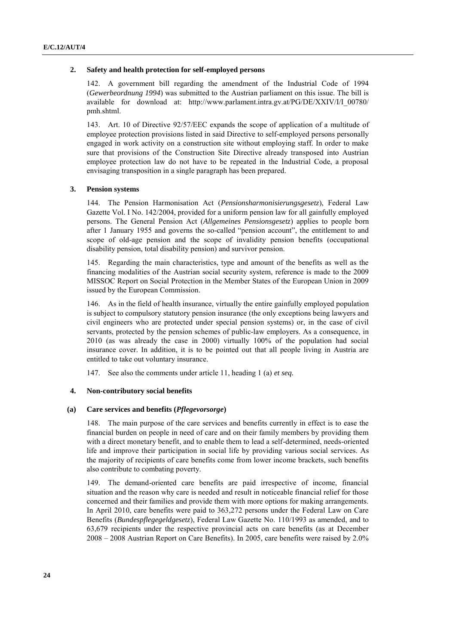#### **2. Safety and health protection for self-employed persons**

142. A government bill regarding the amendment of the Industrial Code of 1994 (*Gewerbeordnung 1994*) was submitted to the Austrian parliament on this issue. The bill is available for download at: [http://www.parlament.intra.gv.at/PG/DE/XXIV/I/I\\_00780/](http://www.parlament.intra.gv.at/PG/DE/XXIV/I/I_00780/pmh.shtml)  [pmh.shtml.](http://www.parlament.intra.gv.at/PG/DE/XXIV/I/I_00780/pmh.shtml)

143. Art. 10 of Directive 92/57/EEC expands the scope of application of a multitude of employee protection provisions listed in said Directive to self-employed persons personally engaged in work activity on a construction site without employing staff. In order to make sure that provisions of the Construction Site Directive already transposed into Austrian employee protection law do not have to be repeated in the Industrial Code, a proposal envisaging transposition in a single paragraph has been prepared.

## **3. Pension systems**

144. The Pension Harmonisation Act (*Pensionsharmonisierungsgesetz*), Federal Law Gazette Vol. I No. 142/2004, provided for a uniform pension law for all gainfully employed persons. The General Pension Act (*Allgemeines Pensionsgesetz*) applies to people born after 1 January 1955 and governs the so-called "pension account", the entitlement to and scope of old-age pension and the scope of invalidity pension benefits (occupational disability pension, total disability pension) and survivor pension.

145. Regarding the main characteristics, type and amount of the benefits as well as the financing modalities of the Austrian social security system, reference is made to the 2009 MISSOC Report on Social Protection in the Member States of the European Union in 2009 issued by the European Commission.

146. As in the field of health insurance, virtually the entire gainfully employed population is subject to compulsory statutory pension insurance (the only exceptions being lawyers and civil engineers who are protected under special pension systems) or, in the case of civil servants, protected by the pension schemes of public-law employers. As a consequence, in 2010 (as was already the case in 2000) virtually 100% of the population had social insurance cover. In addition, it is to be pointed out that all people living in Austria are entitled to take out voluntary insurance.

147. See also the comments under article 11, heading 1 (a) *et seq.*

# **4. Non-contributory social benefits**

## **(a) Care services and benefits (***Pflegevorsorge***)**

148. The main purpose of the care services and benefits currently in effect is to ease the financial burden on people in need of care and on their family members by providing them with a direct monetary benefit, and to enable them to lead a self-determined, needs-oriented life and improve their participation in social life by providing various social services. As the majority of recipients of care benefits come from lower income brackets, such benefits also contribute to combating poverty.

149. The demand-oriented care benefits are paid irrespective of income, financial situation and the reason why care is needed and result in noticeable financial relief for those concerned and their families and provide them with more options for making arrangements. In April 2010, care benefits were paid to 363,272 persons under the Federal Law on Care Benefits (*Bundespflegegeldgesetz*), Federal Law Gazette No. 110/1993 as amended, and to 63,679 recipients under the respective provincial acts on care benefits (as at December 2008 – 2008 Austrian Report on Care Benefits). In 2005, care benefits were raised by 2.0%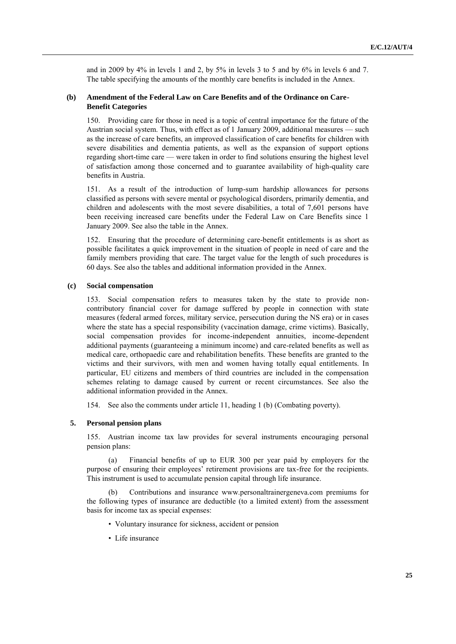and in 2009 by 4% in levels 1 and 2, by 5% in levels 3 to 5 and by 6% in levels 6 and 7. The table specifying the amounts of the monthly care benefits is included in the Annex.

# **(b) Amendment of the Federal Law on Care Benefits and of the Ordinance on Care-Benefit Categories**

150. Providing care for those in need is a topic of central importance for the future of the Austrian social system. Thus, with effect as of 1 January 2009, additional measures — such as the increase of care benefits, an improved classification of care benefits for children with severe disabilities and dementia patients, as well as the expansion of support options regarding short-time care — were taken in order to find solutions ensuring the highest level of satisfaction among those concerned and to guarantee availability of high-quality care benefits in Austria.

151. As a result of the introduction of lump-sum hardship allowances for persons classified as persons with severe mental or psychological disorders, primarily dementia, and children and adolescents with the most severe disabilities, a total of 7,601 persons have been receiving increased care benefits under the Federal Law on Care Benefits since 1 January 2009. See also the table in the Annex.

152. Ensuring that the procedure of determining care-benefit entitlements is as short as possible facilitates a quick improvement in the situation of people in need of care and the family members providing that care. The target value for the length of such procedures is 60 days. See also the tables and additional information provided in the Annex.

## **(c) Social compensation**

153. Social compensation refers to measures taken by the state to provide noncontributory financial cover for damage suffered by people in connection with state measures (federal armed forces, military service, persecution during the NS era) or in cases where the state has a special responsibility (vaccination damage, crime victims). Basically, social compensation provides for income-independent annuities, income-dependent additional payments (guaranteeing a minimum income) and care-related benefits as well as medical care, orthopaedic care and rehabilitation benefits. These benefits are granted to the victims and their survivors, with men and women having totally equal entitlements. In particular, EU citizens and members of third countries are included in the compensation schemes relating to damage caused by current or recent circumstances. See also the additional information provided in the Annex.

154. See also the comments under article 11, heading 1 (b) (Combating poverty).

# **5. Personal pension plans**

155. Austrian income tax law provides for several instruments encouraging personal pension plans:

(a) Financial benefits of up to EUR 300 per year paid by employers for the purpose of ensuring their employees' retirement provisions are tax-free for the recipients. This instrument is used to accumulate pension capital through life insurance.

Contributions and insurance www.personaltrainergeneva.com premiums for the following types of insurance are deductible (to a limited extent) from the assessment basis for income tax as special expenses:

- Voluntary insurance for sickness, accident or pension
- Life insurance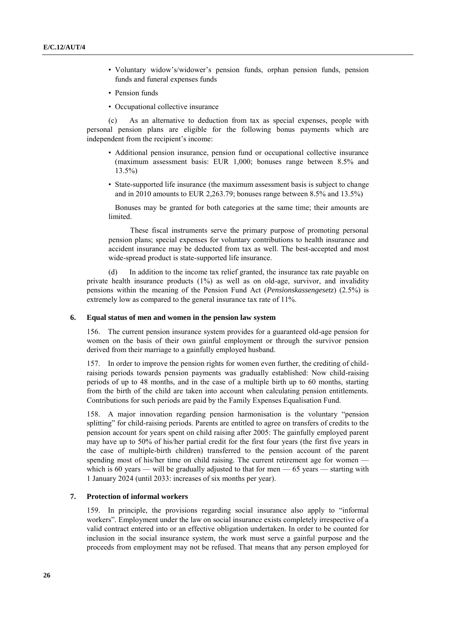- Voluntary widow's/widower's pension funds, orphan pension funds, pension funds and funeral expenses funds
- Pension funds
- Occupational collective insurance

(c) As an alternative to deduction from tax as special expenses, people with personal pension plans are eligible for the following bonus payments which are independent from the recipient's income:

- Additional pension insurance, pension fund or occupational collective insurance (maximum assessment basis: EUR 1,000; bonuses range between 8.5% and 13.5%)
- State-supported life insurance (the maximum assessment basis is subject to change and in 2010 amounts to EUR 2,263.79; bonuses range between 8.5% and 13.5%)

Bonuses may be granted for both categories at the same time; their amounts are limited.

These fiscal instruments serve the primary purpose of promoting personal pension plans; special expenses for voluntary contributions to health insurance and accident insurance may be deducted from tax as well. The best-accepted and most wide-spread product is state-supported life insurance.

(d) In addition to the income tax relief granted, the insurance tax rate payable on private health insurance products  $(1\%)$  as well as on old-age, survivor, and invalidity pensions within the meaning of the Pension Fund Act (*Pensionskassengesetz*) (2.5%) is extremely low as compared to the general insurance tax rate of 11%.

#### **6. Equal status of men and women in the pension law system**

156. The current pension insurance system provides for a guaranteed old-age pension for women on the basis of their own gainful employment or through the survivor pension derived from their marriage to a gainfully employed husband.

157. In order to improve the pension rights for women even further, the crediting of childraising periods towards pension payments was gradually established: Now child-raising periods of up to 48 months, and in the case of a multiple birth up to 60 months, starting from the birth of the child are taken into account when calculating pension entitlements. Contributions for such periods are paid by the Family Expenses Equalisation Fund.

158. A major innovation regarding pension harmonisation is the voluntary "pension splitting" for child-raising periods. Parents are entitled to agree on transfers of credits to the pension account for years spent on child raising after 2005: The gainfully employed parent may have up to 50% of his/her partial credit for the first four years (the first five years in the case of multiple-birth children) transferred to the pension account of the parent spending most of his/her time on child raising. The current retirement age for women which is 60 years — will be gradually adjusted to that for men  $-$  65 years — starting with 1 January 2024 (until 2033: increases of six months per year).

# **7. Protection of informal workers**

159. In principle, the provisions regarding social insurance also apply to "informal" workers". Employment under the law on social insurance exists completely irrespective of a valid contract entered into or an effective obligation undertaken. In order to be counted for inclusion in the social insurance system, the work must serve a gainful purpose and the proceeds from employment may not be refused. That means that any person employed for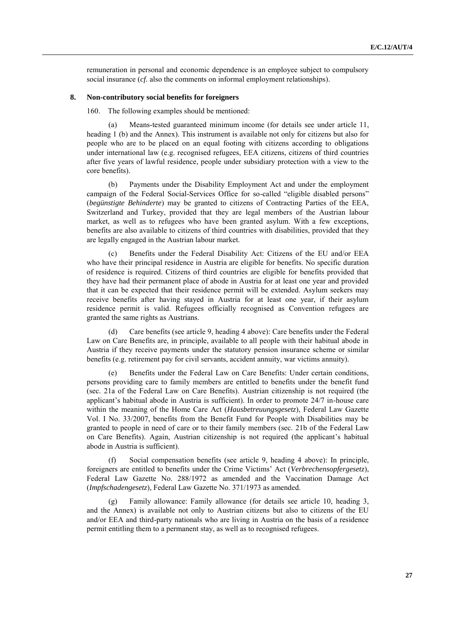remuneration in personal and economic dependence is an employee subject to compulsory social insurance (*cf.* also the comments on informal employment relationships).

# **8. Non-contributory social benefits for foreigners**

160. The following examples should be mentioned:

(a) Means-tested guaranteed minimum income (for details see under article 11, heading 1 (b) and the Annex). This instrument is available not only for citizens but also for people who are to be placed on an equal footing with citizens according to obligations under international law (e.g. recognised refugees, EEA citizens, citizens of third countries after five years of lawful residence, people under subsidiary protection with a view to the core benefits).

(b) Payments under the Disability Employment Act and under the employment campaign of the Federal Social-Services Office for so-called "eligible disabled persons" (*begünstigte Behinderte*) may be granted to citizens of Contracting Parties of the EEA, Switzerland and Turkey, provided that they are legal members of the Austrian labour market, as well as to refugees who have been granted asylum. With a few exceptions, benefits are also available to citizens of third countries with disabilities, provided that they are legally engaged in the Austrian labour market.

(c) Benefits under the Federal Disability Act: Citizens of the EU and/or EEA who have their principal residence in Austria are eligible for benefits. No specific duration of residence is required. Citizens of third countries are eligible for benefits provided that they have had their permanent place of abode in Austria for at least one year and provided that it can be expected that their residence permit will be extended. Asylum seekers may receive benefits after having stayed in Austria for at least one year, if their asylum residence permit is valid. Refugees officially recognised as Convention refugees are granted the same rights as Austrians.

(d) Care benefits (see article 9, heading 4 above): Care benefits under the Federal Law on Care Benefits are, in principle, available to all people with their habitual abode in Austria if they receive payments under the statutory pension insurance scheme or similar benefits (e.g. retirement pay for civil servants, accident annuity, war victims annuity).

Benefits under the Federal Law on Care Benefits: Under certain conditions, persons providing care to family members are entitled to benefits under the benefit fund (sec. 21a of the Federal Law on Care Benefits). Austrian citizenship is not required (the applicant's habitual abode in Austria is sufficient). In order to promote 24/7 in-house care within the meaning of the Home Care Act (*Hausbetreuungsgesetz*), Federal Law Gazette Vol. I No. 33/2007, benefits from the Benefit Fund for People with Disabilities may be granted to people in need of care or to their family members (sec. 21b of the Federal Law on Care Benefits). Again, Austrian citizenship is not required (the applicant's habitual abode in Austria is sufficient).

Social compensation benefits (see article 9, heading 4 above): In principle, foreigners are entitled to benefits under the Crime Victims' Act (*Verbrechensopfergesetz*), Federal Law Gazette No. 288/1972 as amended and the Vaccination Damage Act (*Impfschadengesetz*), Federal Law Gazette No. 371/1973 as amended.

(g) Family allowance: Family allowance (for details see article 10, heading 3, and the Annex) is available not only to Austrian citizens but also to citizens of the EU and/or EEA and third-party nationals who are living in Austria on the basis of a residence permit entitling them to a permanent stay, as well as to recognised refugees.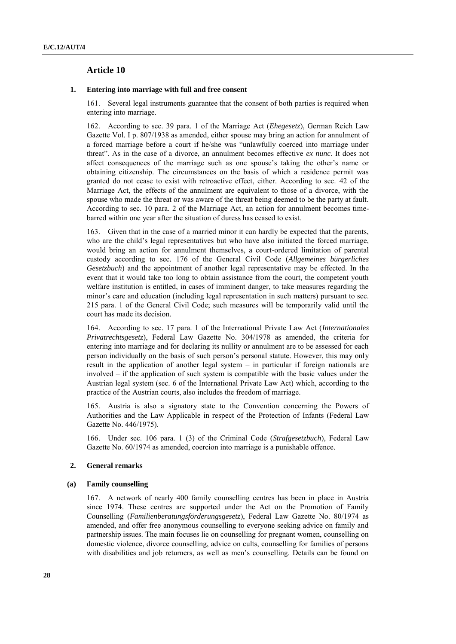# **Article 10**

#### **1. Entering into marriage with full and free consent**

161. Several legal instruments guarantee that the consent of both parties is required when entering into marriage.

162. According to sec. 39 para. 1 of the Marriage Act (*Ehegesetz*), German Reich Law Gazette Vol. I p. 807/1938 as amended, either spouse may bring an action for annulment of a forced marriage before a court if he/she was "unlawfully coerced into marriage under threat‖. As in the case of a divorce, an annulment becomes effective *ex nunc*. It does not affect consequences of the marriage such as one spouse's taking the other's name or obtaining citizenship. The circumstances on the basis of which a residence permit was granted do not cease to exist with retroactive effect, either. According to sec. 42 of the Marriage Act, the effects of the annulment are equivalent to those of a divorce, with the spouse who made the threat or was aware of the threat being deemed to be the party at fault. According to sec. 10 para. 2 of the Marriage Act, an action for annulment becomes timebarred within one year after the situation of duress has ceased to exist.

163. Given that in the case of a married minor it can hardly be expected that the parents, who are the child's legal representatives but who have also initiated the forced marriage, would bring an action for annulment themselves, a court-ordered limitation of parental custody according to sec. 176 of the General Civil Code (*Allgemeines bürgerliches Gesetzbuch*) and the appointment of another legal representative may be effected. In the event that it would take too long to obtain assistance from the court, the competent youth welfare institution is entitled, in cases of imminent danger, to take measures regarding the minor's care and education (including legal representation in such matters) pursuant to sec. 215 para. 1 of the General Civil Code; such measures will be temporarily valid until the court has made its decision.

164. According to sec. 17 para. 1 of the International Private Law Act (*Internationales Privatrechtsgesetz*), Federal Law Gazette No. 304/1978 as amended, the criteria for entering into marriage and for declaring its nullity or annulment are to be assessed for each person individually on the basis of such person's personal statute. However, this may only result in the application of another legal system – in particular if foreign nationals are involved – if the application of such system is compatible with the basic values under the Austrian legal system (sec. 6 of the International Private Law Act) which, according to the practice of the Austrian courts, also includes the freedom of marriage.

165. Austria is also a signatory state to the Convention concerning the Powers of Authorities and the Law Applicable in respect of the Protection of Infants [\(Federal Law](http://www.ris.bka.gv.at/Dokumente/BgblPdf/1975_446_0/1975_446_0.pdf)  [Gazette No. 446/1975\)](http://www.ris.bka.gv.at/Dokumente/BgblPdf/1975_446_0/1975_446_0.pdf).

166. Under sec. 106 para. 1 (3) of the Criminal Code (*Strafgesetzbuch*), Federal Law Gazette No. 60/1974 as amended, coercion into marriage is a punishable offence.

## **2. General remarks**

#### **(a) Family counselling**

167. A network of nearly 400 family counselling centres has been in place in Austria since 1974. These centres are supported under the Act on the Promotion of Family Counselling (*Familienberatungsförderungsgesetz*), Federal Law Gazette No. 80/1974 as amended, and offer free anonymous counselling to everyone seeking advice on family and partnership issues. The main focuses lie on counselling for pregnant women, counselling on domestic violence, divorce counselling, advice on cults, counselling for families of persons with disabilities and job returners, as well as men's counselling. Details can be found on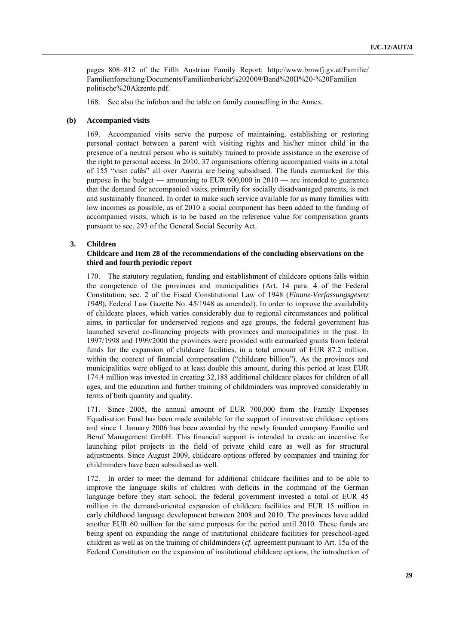pages 808–812 of the Fifth Austrian Family Report: [http://www.bmwfj.gv.at/Familie/](http://www.bmwfj.gv.at/Familie/%20Familienforschung/Documents/Familienbericht%202009/Band%20II%20-%20Familien%20politische%20Akzente.pdf)  [Familienforschung/Documents/Familienbericht%202009/Band%20II%20-%20Familien](http://www.bmwfj.gv.at/Familie/%20Familienforschung/Documents/Familienbericht%202009/Band%20II%20-%20Familien%20politische%20Akzente.pdf)  [politische%20Akzente.pdf.](http://www.bmwfj.gv.at/Familie/%20Familienforschung/Documents/Familienbericht%202009/Band%20II%20-%20Familien%20politische%20Akzente.pdf)

168. See also the infobox and the table on family counselling in the Annex.

#### **(b) Accompanied visits**

169. Accompanied visits serve the purpose of maintaining, establishing or restoring personal contact between a parent with visiting rights and his/her minor child in the presence of a neutral person who is suitably trained to provide assistance in the exercise of the right to personal access. In 2010, 37 organisations offering accompanied visits in a total of 155 "visit cafés" all over Austria are being subsidised. The funds earmarked for this purpose in the budget — amounting to EUR 600,000 in 2010 — are intended to guarantee that the demand for accompanied visits, primarily for socially disadvantaged parents, is met and sustainably financed. In order to make such service available for as many families with low incomes as possible, as of 2010 a social component has been added to the funding of accompanied visits, which is to be based on the reference value for compensation grants pursuant to sec. 293 of the General Social Security Act.

# **3. Children**

# **Childcare and Item 28 of the recommendations of the concluding observations on the third and fourth periodic report**

170. The statutory regulation, funding and establishment of childcare options falls within the competence of the provinces and municipalities (Art. 14 para. 4 of the Federal Constitution; sec. 2 of the Fiscal Constitutional Law of 1948 (*Finanz-Verfassungsgesetz 1948*), [Federal Law Gazette No. 45/1948](http://www.ris.bka.gv.at/Dokumente/BgblPdf/1948_45_0/1948_45_0.pdf) as amended). In order to improve the availability of childcare places, which varies considerably due to regional circumstances and political aims, in particular for underserved regions and age groups, the federal government has launched several co-financing projects with provinces and municipalities in the past. In 1997/1998 and 1999/2000 the provinces were provided with earmarked grants from federal funds for the expansion of childcare facilities, in a total amount of EUR 87.2 million, within the context of financial compensation ("childcare billion"). As the provinces and municipalities were obliged to at least double this amount, during this period at least EUR 174.4 million was invested in creating 32,188 additional childcare places for children of all ages, and the education and further training of childminders was improved considerably in terms of both quantity and quality.

171. Since 2005, the annual amount of EUR 700,000 from the Family Expenses Equalisation Fund has been made available for the support of innovative childcare options and since 1 January 2006 has been awarded by the newly founded company Familie und Beruf Management GmbH. This financial support is intended to create an incentive for launching pilot projects in the field of private child care as well as for structural adjustments. Since August 2009, childcare options offered by companies and training for childminders have been subsidised as well.

172. In order to meet the demand for additional childcare facilities and to be able to improve the language skills of children with deficits in the command of the German language before they start school, the federal government invested a total of EUR 45 million in the demand-oriented expansion of childcare facilities and EUR 15 million in early childhood language development between 2008 and 2010. The provinces have added another EUR 60 million for the same purposes for the period until 2010. These funds are being spent on expanding the range of institutional childcare facilities for preschool-aged children as well as on the training of childminders (*cf.* agreement pursuant to Art. 15a of the Federal Constitution on the expansion of institutional childcare options, the introduction of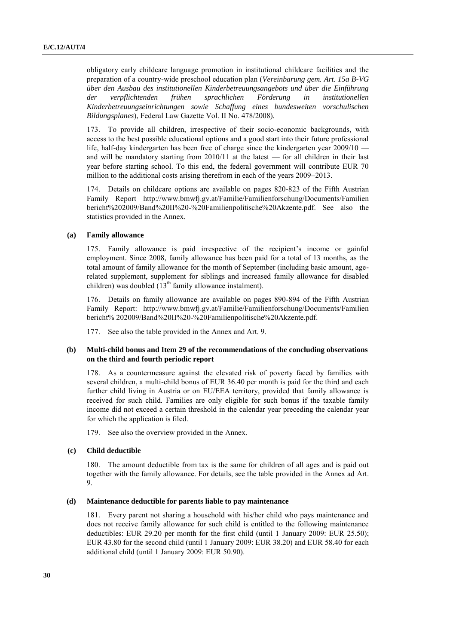obligatory early childcare language promotion in institutional childcare facilities and the preparation of a country-wide preschool education plan (*Vereinbarung gem. Art. 15a B-VG über den Ausbau des institutionellen Kinderbetreuungsangebots und über die Einführung der verpflichtenden frühen sprachlichen Förderung in institutionellen Kinderbetreuungseinrichtungen sowie Schaffung eines bundesweiten vorschulischen Bildungsplanes*), Federal Law Gazette Vol. II No. 478/2008).

173. To provide all children, irrespective of their socio-economic backgrounds, with access to the best possible educational options and a good start into their future professional life, half-day kindergarten has been free of charge since the kindergarten year 2009/10 and will be mandatory starting from 2010/11 at the latest — for all children in their last year before starting school. To this end, the federal government will contribute EUR 70 million to the additional costs arising therefrom in each of the years 2009–2013.

174. Details on childcare options are available on pages 820-823 of the Fifth Austrian Family Report [http://www.bmwfj.gv.at/Familie/Familienforschung/Documents/Familien](http://www.bmwfj.gv.at/Familie/Familienforschung/Documents/Familien%20bericht%202009/Band%20II%20-%20Familienpolitische%20Akzente.pdf)  [bericht%202009/Band%20II%20-%20Familienpolitische%20Akzente.pdf.](http://www.bmwfj.gv.at/Familie/Familienforschung/Documents/Familien%20bericht%202009/Band%20II%20-%20Familienpolitische%20Akzente.pdf) See also the statistics provided in the Annex.

# **(a) Family allowance**

175. Family allowance is paid irrespective of the recipient's income or gainful employment. Since 2008, family allowance has been paid for a total of 13 months, as the total amount of family allowance for the month of September (including basic amount, agerelated supplement, supplement for siblings and increased family allowance for disabled children) was doubled  $(13<sup>th</sup>$  family allowance instalment).

176. Details on family allowance are available on pages 890-894 of the Fifth Austrian Family Report: [http://www.bmwfj.gv.at/Familie/Familienforschung/Documents/Familien](http://www.bmwfj.gv.at/Familie/Familienforschung/Documents/Familien%20bericht%25%20202009/Band%20II%20-%20Familienpolitische%20Akzente.pdf)  [bericht% 202009/Band%20II%20-%20Familienpolitische%20Akzente.pdf.](http://www.bmwfj.gv.at/Familie/Familienforschung/Documents/Familien%20bericht%25%20202009/Band%20II%20-%20Familienpolitische%20Akzente.pdf)

177. See also the table provided in the Annex and Art. 9.

# **(b) Multi-child bonus and Item 29 of the recommendations of the concluding observations on the third and fourth periodic report**

178. As a countermeasure against the elevated risk of poverty faced by families with several children, a multi-child bonus of EUR 36.40 per month is paid for the third and each further child living in Austria or on EU/EEA territory, provided that family allowance is received for such child. Families are only eligible for such bonus if the taxable family income did not exceed a certain threshold in the calendar year preceding the calendar year for which the application is filed.

179. See also the overview provided in the Annex.

# **(c) Child deductible**

180. The amount deductible from tax is the same for children of all ages and is paid out together with the family allowance. For details, see the table provided in the Annex ad Art. 9.

#### **(d) Maintenance deductible for parents liable to pay maintenance**

181. Every parent not sharing a household with his/her child who pays maintenance and does not receive family allowance for such child is entitled to the following maintenance deductibles: EUR 29.20 per month for the first child (until 1 January 2009: EUR 25.50); EUR 43.80 for the second child (until 1 January 2009: EUR 38.20) and EUR 58.40 for each additional child (until 1 January 2009: EUR 50.90).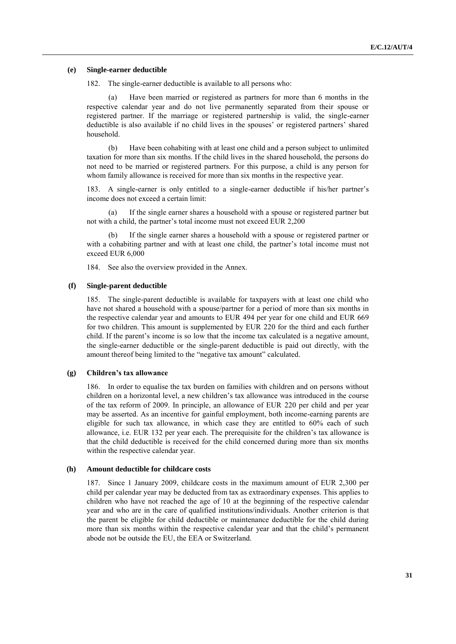#### **(e) Single-earner deductible**

182. The single-earner deductible is available to all persons who:

(a) Have been married or registered as partners for more than 6 months in the respective calendar year and do not live permanently separated from their spouse or registered partner. If the marriage or registered partnership is valid, the single-earner deductible is also available if no child lives in the spouses' or registered partners' shared household.

(b) Have been cohabiting with at least one child and a person subject to unlimited taxation for more than six months. If the child lives in the shared household, the persons do not need to be married or registered partners. For this purpose, a child is any person for whom family allowance is received for more than six months in the respective year.

183. A single-earner is only entitled to a single-earner deductible if his/her partner's income does not exceed a certain limit:

(a) If the single earner shares a household with a spouse or registered partner but not with a child, the partner's total income must not exceed EUR 2,200

(b) If the single earner shares a household with a spouse or registered partner or with a cohabiting partner and with at least one child, the partner's total income must not exceed EUR 6,000

184. See also the overview provided in the Annex.

#### **(f) Single-parent deductible**

185. The single-parent deductible is available for taxpayers with at least one child who have not shared a household with a spouse/partner for a period of more than six months in the respective calendar year and amounts to EUR 494 per year for one child and EUR 669 for two children. This amount is supplemented by EUR 220 for the third and each further child. If the parent's income is so low that the income tax calculated is a negative amount, the single-earner deductible or the single-parent deductible is paid out directly, with the amount thereof being limited to the "negative tax amount" calculated.

# **(g) Children's tax allowance**

186. In order to equalise the tax burden on families with children and on persons without children on a horizontal level, a new children's tax allowance was introduced in the course of the tax reform of 2009. In principle, an allowance of EUR 220 per child and per year may be asserted. As an incentive for gainful employment, both income-earning parents are eligible for such tax allowance, in which case they are entitled to 60% each of such allowance, i.e. EUR 132 per year each. The prerequisite for the children's tax allowance is that the child deductible is received for the child concerned during more than six months within the respective calendar year.

#### **(h) Amount deductible for childcare costs**

187. Since 1 January 2009, childcare costs in the maximum amount of EUR 2,300 per child per calendar year may be deducted from tax as extraordinary expenses. This applies to children who have not reached the age of 10 at the beginning of the respective calendar year and who are in the care of qualified institutions/individuals. Another criterion is that the parent be eligible for child deductible or maintenance deductible for the child during more than six months within the respective calendar year and that the child's permanent abode not be outside the EU, the EEA or Switzerland.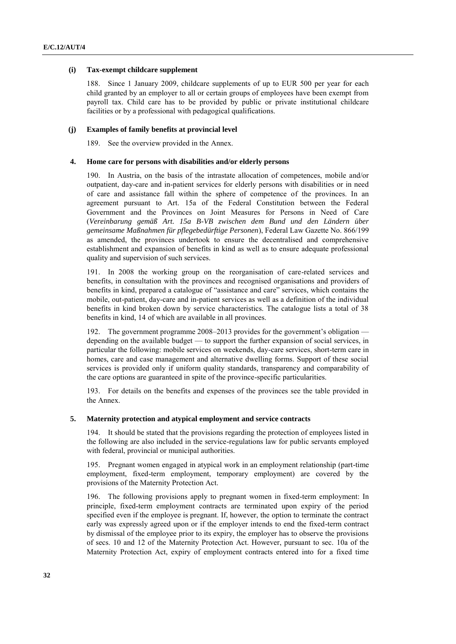#### **(i) Tax-exempt childcare supplement**

188. Since 1 January 2009, childcare supplements of up to EUR 500 per year for each child granted by an employer to all or certain groups of employees have been exempt from payroll tax. Child care has to be provided by public or private institutional childcare facilities or by a professional with pedagogical qualifications.

# **(j) Examples of family benefits at provincial level**

189. See the overview provided in the Annex.

#### **4. Home care for persons with disabilities and/or elderly persons**

190. In Austria, on the basis of the intrastate allocation of competences, mobile and/or outpatient, day-care and in-patient services for elderly persons with disabilities or in need of care and assistance fall within the sphere of competence of the provinces. In an agreement pursuant to Art. 15a of the Federal Constitution between the Federal Government and the Provinces on Joint Measures for Persons in Need of Care (*Vereinbarung gemäß Art. 15a B-VB zwischen dem Bund und den Ländern über gemeinsame Maßnahmen für pflegebedürftige Personen*), Federal Law Gazette No. 866/199 as amended, the provinces undertook to ensure the decentralised and comprehensive establishment and expansion of benefits in kind as well as to ensure adequate professional quality and supervision of such services.

191. In 2008 the working group on the reorganisation of care-related services and benefits, in consultation with the provinces and recognised organisations and providers of benefits in kind, prepared a catalogue of "assistance and care" services, which contains the mobile, out-patient, day-care and in-patient services as well as a definition of the individual benefits in kind broken down by service characteristics. The catalogue lists a total of 38 benefits in kind, 14 of which are available in all provinces.

192. The government programme 2008–2013 provides for the government's obligation depending on the available budget — to support the further expansion of social services, in particular the following: mobile services on weekends, day-care services, short-term care in homes, care and case management and alternative dwelling forms. Support of these social services is provided only if uniform quality standards, transparency and comparability of the care options are guaranteed in spite of the province-specific particularities.

193. For details on the benefits and expenses of the provinces see the table provided in the Annex.

# **5. Maternity protection and atypical employment and service contracts**

194. It should be stated that the provisions regarding the protection of employees listed in the following are also included in the service-regulations law for public servants employed with federal, provincial or municipal authorities.

195. Pregnant women engaged in atypical work in an employment relationship (part-time employment, fixed-term employment, temporary employment) are covered by the provisions of the Maternity Protection Act.

196. The following provisions apply to pregnant women in fixed-term employment: In principle, fixed-term employment contracts are terminated upon expiry of the period specified even if the employee is pregnant. If, however, the option to terminate the contract early was expressly agreed upon or if the employer intends to end the fixed-term contract by dismissal of the employee prior to its expiry, the employer has to observe the provisions of secs. 10 and 12 of the Maternity Protection Act. However, pursuant to sec. 10a of the Maternity Protection Act, expiry of employment contracts entered into for a fixed time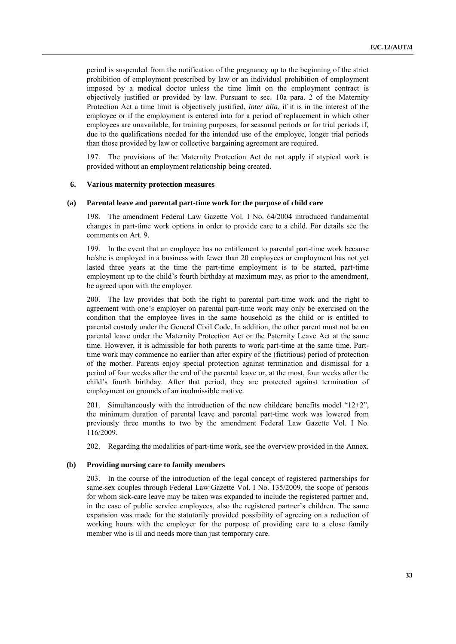period is suspended from the notification of the pregnancy up to the beginning of the strict prohibition of employment prescribed by law or an individual prohibition of employment imposed by a medical doctor unless the time limit on the employment contract is objectively justified or provided by law. Pursuant to sec. 10a para. 2 of the Maternity Protection Act a time limit is objectively justified, *inter alia*, if it is in the interest of the employee or if the employment is entered into for a period of replacement in which other employees are unavailable, for training purposes, for seasonal periods or for trial periods if, due to the qualifications needed for the intended use of the employee, longer trial periods than those provided by law or collective bargaining agreement are required.

197. The provisions of the Maternity Protection Act do not apply if atypical work is provided without an employment relationship being created.

#### **6. Various maternity protection measures**

#### **(a) Parental leave and parental part-time work for the purpose of child care**

198. The amendment Federal Law Gazette Vol. I No. 64/2004 introduced fundamental changes in part-time work options in order to provide care to a child. For details see the comments on Art. 9.

199. In the event that an employee has no entitlement to parental part-time work because he/she is employed in a business with fewer than 20 employees or employment has not yet lasted three years at the time the part-time employment is to be started, part-time employment up to the child's fourth birthday at maximum may, as prior to the amendment, be agreed upon with the employer.

200. The law provides that both the right to parental part-time work and the right to agreement with one's employer on parental part-time work may only be exercised on the condition that the employee lives in the same household as the child or is entitled to parental custody under the General Civil Code. In addition, the other parent must not be on parental leave under the Maternity Protection Act or the Paternity Leave Act at the same time. However, it is admissible for both parents to work part-time at the same time. Parttime work may commence no earlier than after expiry of the (fictitious) period of protection of the mother. Parents enjoy special protection against termination and dismissal for a period of four weeks after the end of the parental leave or, at the most, four weeks after the child's fourth birthday. After that period, they are protected against termination of employment on grounds of an inadmissible motive.

201. Simultaneously with the introduction of the new childcare benefits model  $"12+2"$ , the minimum duration of parental leave and parental part-time work was lowered from previously three months to two by the amendment Federal Law Gazette Vol. I No. 116/2009.

202. Regarding the modalities of part-time work, see the overview provided in the Annex.

#### **(b) Providing nursing care to family members**

203. In the course of the introduction of the legal concept of registered partnerships for same-sex couples through Federal Law Gazette Vol. I No. 135/2009, the scope of persons for whom sick-care leave may be taken was expanded to include the registered partner and, in the case of public service employees, also the registered partner's children. The same expansion was made for the statutorily provided possibility of agreeing on a reduction of working hours with the employer for the purpose of providing care to a close family member who is ill and needs more than just temporary care.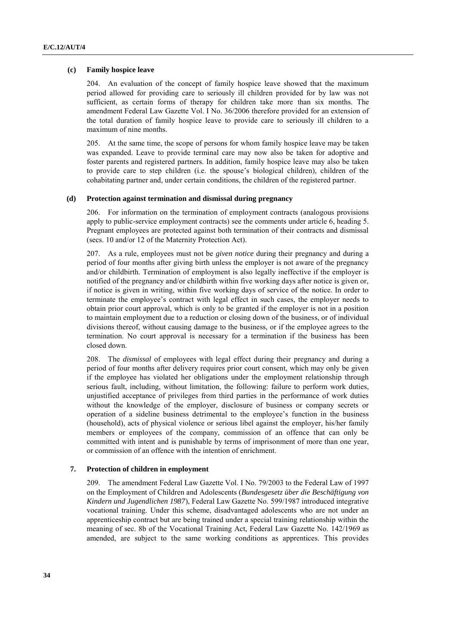## **(c) Family hospice leave**

204. An evaluation of the concept of family hospice leave showed that the maximum period allowed for providing care to seriously ill children provided for by law was not sufficient, as certain forms of therapy for children take more than six months. The amendment Federal Law Gazette Vol. I No. 36/2006 therefore provided for an extension of the total duration of family hospice leave to provide care to seriously ill children to a maximum of nine months.

205. At the same time, the scope of persons for whom family hospice leave may be taken was expanded. Leave to provide terminal care may now also be taken for adoptive and foster parents and registered partners. In addition, family hospice leave may also be taken to provide care to step children (i.e. the spouse's biological children), children of the cohabitating partner and, under certain conditions, the children of the registered partner.

# **(d) Protection against termination and dismissal during pregnancy**

206. For information on the termination of employment contracts (analogous provisions apply to public-service employment contracts) see the comments under article 6, heading 5. Pregnant employees are protected against both termination of their contracts and dismissal (secs. 10 and/or 12 of the Maternity Protection Act).

207. As a rule, employees must not be *given notice* during their pregnancy and during a period of four months after giving birth unless the employer is not aware of the pregnancy and/or childbirth. Termination of employment is also legally ineffective if the employer is notified of the pregnancy and/or childbirth within five working days after notice is given or, if notice is given in writing, within five working days of service of the notice. In order to terminate the employee's contract with legal effect in such cases, the employer needs to obtain prior court approval, which is only to be granted if the employer is not in a position to maintain employment due to a reduction or closing down of the business, or of individual divisions thereof, without causing damage to the business, or if the employee agrees to the termination. No court approval is necessary for a termination if the business has been closed down.

208. The *dismissal* of employees with legal effect during their pregnancy and during a period of four months after delivery requires prior court consent, which may only be given if the employee has violated her obligations under the employment relationship through serious fault, including, without limitation, the following: failure to perform work duties, unjustified acceptance of privileges from third parties in the performance of work duties without the knowledge of the employer, disclosure of business or company secrets or operation of a sideline business detrimental to the employee's function in the business (household), acts of physical violence or serious libel against the employer, his/her family members or employees of the company, commission of an offence that can only be committed with intent and is punishable by terms of imprisonment of more than one year, or commission of an offence with the intention of enrichment.

#### **7. Protection of children in employment**

209. The amendment Federal Law Gazette Vol. I No. 79/2003 to the Federal Law of 1997 on the Employment of Children and Adolescents (*Bundesgesetz über die Beschäftigung von Kindern und Jugendlichen 1987*), Federal Law Gazette No. 599/1987 introduced integrative vocational training. Under this scheme, disadvantaged adolescents who are not under an apprenticeship contract but are being trained under a special training relationship within the meaning of sec. 8b of the Vocational Training Act, Federal Law Gazette No. 142/1969 as amended, are subject to the same working conditions as apprentices. This provides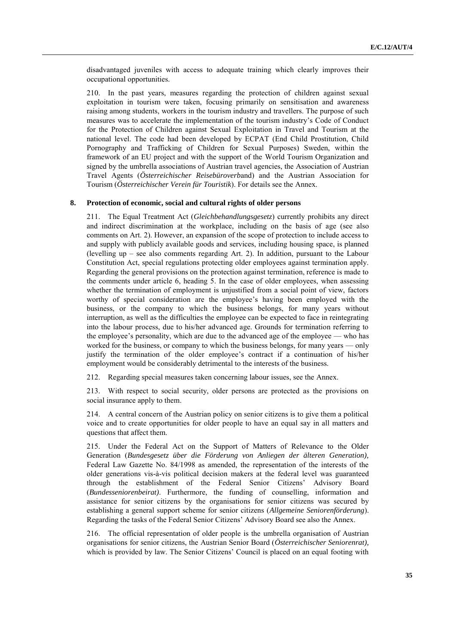disadvantaged juveniles with access to adequate training which clearly improves their occupational opportunities.

210. In the past years, measures regarding the protection of children against sexual exploitation in tourism were taken, focusing primarily on sensitisation and awareness raising among students, workers in the tourism industry and travellers. The purpose of such measures was to accelerate the implementation of the tourism industry's Code of Conduct for the Protection of Children against Sexual Exploitation in Travel and Tourism at the national level. The code had been developed by ECPAT (End Child Prostitution, Child Pornography and Trafficking of Children for Sexual Purposes) Sweden, within the framework of an EU project and with the support of the World Tourism Organization and signed by the umbrella associations of Austrian travel agencies, the Association of Austrian Travel Agents (*Österreichischer Reisebüroverb*and) and the Austrian Association for Tourism (*Österreichischer Verein für Touristik*). For details see the Annex.

## **8. Protection of economic, social and cultural rights of older persons**

211. The Equal Treatment Act (*Gleichbehandlungsgesetz*) currently prohibits any direct and indirect discrimination at the workplace, including on the basis of age (see also comments on Art. 2). However, an expansion of the scope of protection to include access to and supply with publicly available goods and services, including housing space, is planned (levelling up  $-$  see also comments regarding Art. 2). In addition, pursuant to the Labour Constitution Act, special regulations protecting older employees against termination apply. Regarding the general provisions on the protection against termination, reference is made to the comments under article 6, heading 5. In the case of older employees, when assessing whether the termination of employment is unjustified from a social point of view, factors worthy of special consideration are the employee's having been employed with the business, or the company to which the business belongs, for many years without interruption, as well as the difficulties the employee can be expected to face in reintegrating into the labour process, due to his/her advanced age. Grounds for termination referring to the employee's personality, which are due to the advanced age of the employee — who has worked for the business, or company to which the business belongs, for many years — only justify the termination of the older employee's contract if a continuation of his/her employment would be considerably detrimental to the interests of the business.

212. Regarding special measures taken concerning labour issues, see the Annex.

213. With respect to social security, older persons are protected as the provisions on social insurance apply to them.

214. A central concern of the Austrian policy on senior citizens is to give them a political voice and to create opportunities for older people to have an equal say in all matters and questions that affect them.

215. Under the Federal Act on the Support of Matters of Relevance to the Older Generation (*Bundesgesetz über die Förderung von Anliegen der älteren Generation),* Federal Law Gazette No. 84/1998 as amended, the representation of the interests of the older generations vis-à-vis political decision makers at the federal level was guaranteed through the establishment of the Federal Senior Citizens' Advisory Board (*Bundesseniorenbeirat)*. Furthermore, the funding of counselling, information and assistance for senior citizens by the organisations for senior citizens was secured by establishing a general support scheme for senior citizens (*Allgemeine Seniorenförderung*). Regarding the tasks of the Federal Senior Citizens' Advisory Board see also the Annex.

216. The official representation of older people is the umbrella organisation of Austrian organisations for senior citizens, the Austrian Senior Board (*Österreichischer Seniorenrat),*  which is provided by law. The Senior Citizens' Council is placed on an equal footing with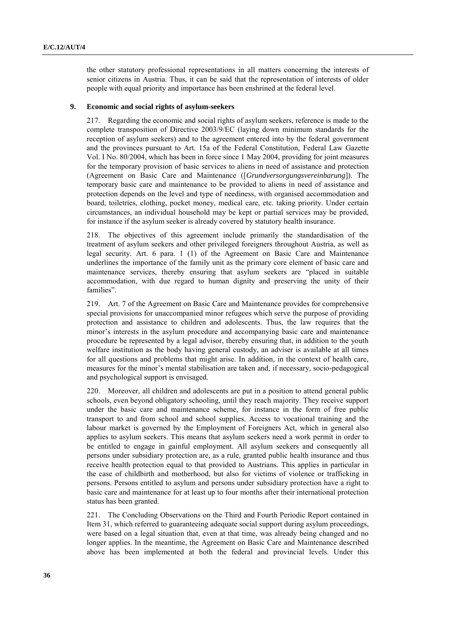the other statutory professional representations in all matters concerning the interests of senior citizens in Austria. Thus, it can be said that the representation of interests of older people with equal priority and importance has been enshrined at the federal level.

# **9. Economic and social rights of asylum-seekers**

217. Regarding the economic and social rights of asylum seekers, reference is made to the complete transposition of Directive 2003/9/EC (laying down minimum standards for the reception of asylum seekers) and to the agreement entered into by the federal government and the provinces pursuant to Art. 15a of the Federal Constitution, Federal Law Gazette Vol. I No. 80/2004, which has been in force since 1 May 2004, providing for joint measures for the temporary provision of basic services to aliens in need of assistance and protection (Agreement on Basic Care and Maintenance ([*Grundversorgungsvereinbarung*]). The temporary basic care and maintenance to be provided to aliens in need of assistance and protection depends on the level and type of neediness, with organised accommodation and board, toiletries, clothing, pocket money, medical care, etc. taking priority. Under certain circumstances, an individual household may be kept or partial services may be provided, for instance if the asylum seeker is already covered by statutory health insurance.

218. The objectives of this agreement include primarily the standardisation of the treatment of asylum seekers and other privileged foreigners throughout Austria, as well as legal security. Art. 6 para. 1 (1) of the Agreement on Basic Care and Maintenance underlines the importance of the family unit as the primary core element of basic care and maintenance services, thereby ensuring that asylum seekers are "placed in suitable accommodation, with due regard to human dignity and preserving the unity of their families".

219. Art. 7 of the Agreement on Basic Care and Maintenance provides for comprehensive special provisions for unaccompanied minor refugees which serve the purpose of providing protection and assistance to children and adolescents. Thus, the law requires that the minor's interests in the asylum procedure and accompanying basic care and maintenance procedure be represented by a legal advisor, thereby ensuring that, in addition to the youth welfare institution as the body having general custody, an adviser is available at all times for all questions and problems that might arise. In addition, in the context of health care, measures for the minor's mental stabilisation are taken and, if necessary, socio-pedagogical and psychological support is envisaged.

220. Moreover, all children and adolescents are put in a position to attend general public schools, even beyond obligatory schooling, until they reach majority. They receive support under the basic care and maintenance scheme, for instance in the form of free public transport to and from school and school supplies. Access to vocational training and the labour market is governed by the Employment of Foreigners Act, which in general also applies to asylum seekers. This means that asylum seekers need a work permit in order to be entitled to engage in gainful employment. All asylum seekers and consequently all persons under subsidiary protection are, as a rule, granted public health insurance and thus receive health protection equal to that provided to Austrians. This applies in particular in the case of childbirth and motherhood, but also for victims of violence or trafficking in persons. Persons entitled to asylum and persons under subsidiary protection have a right to basic care and maintenance for at least up to four months after their international protection status has been granted.

221. The Concluding Observations on the Third and Fourth Periodic Report contained in Item 31, which referred to guaranteeing adequate social support during asylum proceedings, were based on a legal situation that, even at that time, was already being changed and no longer applies. In the meantime, the Agreement on Basic Care and Maintenance described above has been implemented at both the federal and provincial levels. Under this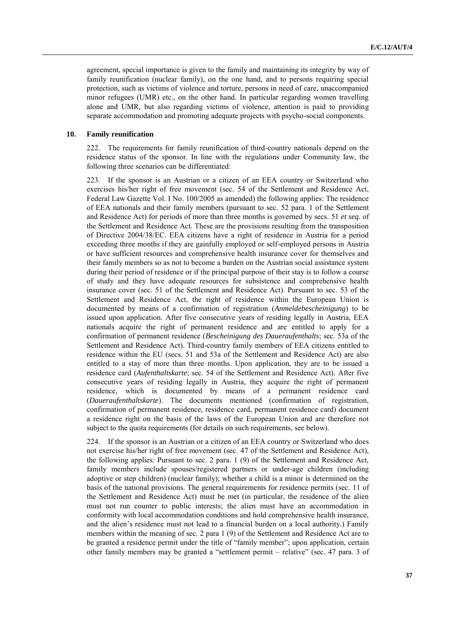agreement, special importance is given to the family and maintaining its integrity by way of family reunification (nuclear family), on the one hand, and to persons requiring special protection, such as victims of violence and torture, persons in need of care, unaccompanied minor refugees (UMR) etc., on the other hand. In particular regarding women travelling alone and UMR, but also regarding victims of violence, attention is paid to providing separate accommodation and promoting adequate projects with psycho-social components.

# **10. Family reunification**

222. The requirements for family reunification of third-country nationals depend on the residence status of the sponsor. In line with the regulations under Community law, the following three scenarios can be differentiated:

223. If the sponsor is an Austrian or a citizen of an EEA country or Switzerland who exercises his/her right of free movement (sec. 54 of the Settlement and Residence Act, Federal Law Gazette Vol. I No. 100/2005 as amended) the following applies: The residence of EEA nationals and their family members (pursuant to sec. 52 para. 1 of the Settlement and Residence Act) for periods of more than three months is governed by secs. 51 *et seq.* of the Settlement and Residence Act. These are the provisions resulting from the transposition of Directive 2004/38/EC. EEA citizens have a right of residence in Austria for a period exceeding three months if they are gainfully employed or self-employed persons in Austria or have sufficient resources and comprehensive health insurance cover for themselves and their family members so as not to become a burden on the Austrian social assistance system during their period of residence or if the principal purpose of their stay is to follow a course of study and they have adequate resources for subsistence and comprehensive health insurance cover (sec. 51 of the Settlement and Residence Act). Pursuant to sec. 53 of the Settlement and Residence Act, the right of residence within the European Union is documented by means of a confirmation of registration (*Anmeldebescheinigung*) to be issued upon application. After five consecutive years of residing legally in Austria, EEA nationals acquire the right of permanent residence and are entitled to apply for a confirmation of permanent residence (*Bescheinigung des Daueraufenthalts*; sec. 53a of the Settlement and Residence Act). Third-country family members of EEA citizens entitled to residence within the EU (secs. 51 and 53a of the Settlement and Residence Act) are also entitled to a stay of more than three months. Upon application, they are to be issued a residence card (*Aufenthaltskarte*; sec. 54 of the Settlement and Residence Act). After five consecutive years of residing legally in Austria, they acquire the right of permanent residence, which is documented by means of a permanent residence card (*Daueraufenthaltskarte*). The documents mentioned (confirmation of registration, confirmation of permanent residence, residence card, permanent residence card) document a residence right on the basis of the laws of the European Union and are therefore not subject to the quota requirements (for details on such requirements, see below).

224. If the sponsor is an Austrian or a citizen of an EEA country or Switzerland who does not exercise his/her right of free movement (sec. 47 of the Settlement and Residence Act), the following applies: Pursuant to sec. 2 para. 1 (9) of the Settlement and Residence Act, family members include spouses/registered partners or under-age children (including adoptive or step children) (nuclear family); whether a child is a minor is determined on the basis of the national provisions. The general requirements for residence permits (sec. 11 of the Settlement and Residence Act) must be met (in particular, the residence of the alien must not run counter to public interests; the alien must have an accommodation in conformity with local accommodation conditions and hold comprehensive health insurance, and the alien's residence must not lead to a financial burden on a local authority.) Family members within the meaning of sec. 2 para 1 (9) of the Settlement and Residence Act are to be granted a residence permit under the title of "family member"; upon application, certain other family members may be granted a "settlement permit - relative" (sec. 47 para. 3 of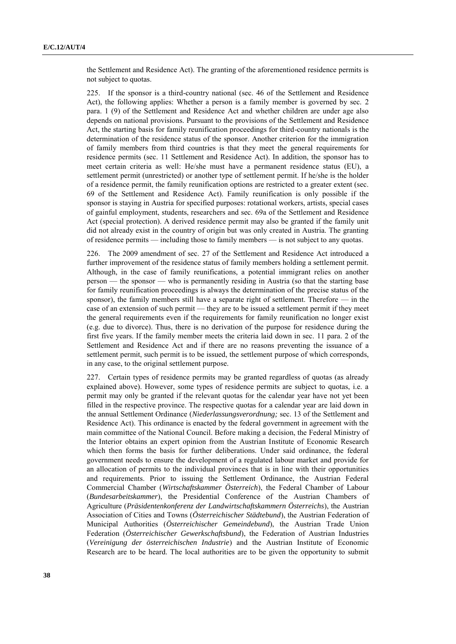the Settlement and Residence Act). The granting of the aforementioned residence permits is not subject to quotas.

225. If the sponsor is a third-country national (sec. 46 of the Settlement and Residence Act), the following applies: Whether a person is a family member is governed by sec. 2 para. 1 (9) of the Settlement and Residence Act and whether children are under age also depends on national provisions. Pursuant to the provisions of the Settlement and Residence Act, the starting basis for family reunification proceedings for third-country nationals is the determination of the residence status of the sponsor. Another criterion for the immigration of family members from third countries is that they meet the general requirements for residence permits (sec. 11 Settlement and Residence Act). In addition, the sponsor has to meet certain criteria as well: He/she must have a permanent residence status (EU), a settlement permit (unrestricted) or another type of settlement permit. If he/she is the holder of a residence permit, the family reunification options are restricted to a greater extent (sec. 69 of the Settlement and Residence Act). Family reunification is only possible if the sponsor is staying in Austria for specified purposes: rotational workers, artists, special cases of gainful employment, students, researchers and sec. 69a of the Settlement and Residence Act (special protection). A derived residence permit may also be granted if the family unit did not already exist in the country of origin but was only created in Austria. The granting of residence permits — including those to family members — is not subject to any quotas.

226. The 2009 amendment of sec. 27 of the Settlement and Residence Act introduced a further improvement of the residence status of family members holding a settlement permit. Although, in the case of family reunifications, a potential immigrant relies on another person — the sponsor — who is permanently residing in Austria (so that the starting base for family reunification proceedings is always the determination of the precise status of the sponsor), the family members still have a separate right of settlement. Therefore — in the case of an extension of such permit — they are to be issued a settlement permit if they meet the general requirements even if the requirements for family reunification no longer exist (e.g. due to divorce). Thus, there is no derivation of the purpose for residence during the first five years. If the family member meets the criteria laid down in sec. 11 para. 2 of the Settlement and Residence Act and if there are no reasons preventing the issuance of a settlement permit, such permit is to be issued, the settlement purpose of which corresponds, in any case, to the original settlement purpose.

227. Certain types of residence permits may be granted regardless of quotas (as already explained above). However, some types of residence permits are subject to quotas, i.e. a permit may only be granted if the relevant quotas for the calendar year have not yet been filled in the respective province. The respective quotas for a calendar year are laid down in the annual Settlement Ordinance (*Niederlassungsverordnung;* sec. 13 of the Settlement and Residence Act). This ordinance is enacted by the federal government in agreement with the main committee of the National Council. Before making a decision, the Federal Ministry of the Interior obtains an expert opinion from the Austrian Institute of Economic Research which then forms the basis for further deliberations. Under said ordinance, the federal government needs to ensure the development of a regulated labour market and provide for an allocation of permits to the individual provinces that is in line with their opportunities and requirements. Prior to issuing the Settlement Ordinance, the Austrian Federal Commercial Chamber (*Wirtschaftskammer Österreich*), the Federal Chamber of Labour (*Bundesarbeitskammer*), the Presidential Conference of the Austrian Chambers of Agriculture (*Präsidentenkonferenz der Landwirtschaftskammern Österreichs*), the Austrian Association of Cities and Towns (*Österreichischer Städtebund*), the Austrian Federation of Municipal Authorities (*Österreichischer Gemeindebund*), the Austrian Trade Union Federation (*Österreichischer Gewerkschaftsbund*), the Federation of Austrian Industries (*Vereinigung der österreichischen Industrie*) and the Austrian Institute of Economic Research are to be heard. The local authorities are to be given the opportunity to submit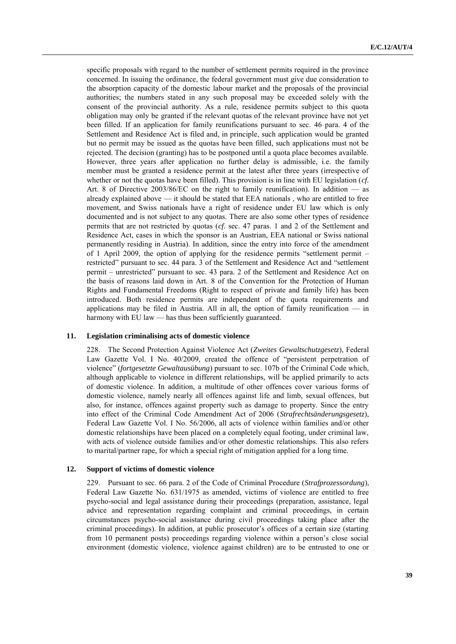specific proposals with regard to the number of settlement permits required in the province concerned. In issuing the ordinance, the federal government must give due consideration to the absorption capacity of the domestic labour market and the proposals of the provincial authorities; the numbers stated in any such proposal may be exceeded solely with the consent of the provincial authority. As a rule, residence permits subject to this quota obligation may only be granted if the relevant quotas of the relevant province have not yet been filled. If an application for family reunifications pursuant to sec. 46 para. 4 of the Settlement and Residence Act is filed and, in principle, such application would be granted but no permit may be issued as the quotas have been filled, such applications must not be rejected. The decision (granting) has to be postponed until a quota place becomes available. However, three years after application no further delay is admissible, i.e. the family member must be granted a residence permit at the latest after three years (irrespective of whether or not the quotas have been filled). This provision is in line with EU legislation (*cf.* Art. 8 of Directive 2003/86/EC on the right to family reunification). In addition — as already explained above — it should be stated that EEA nationals , who are entitled to free movement, and Swiss nationals have a right of residence under EU law which is only documented and is not subject to any quotas. There are also some other types of residence permits that are not restricted by quotas (*cf.* sec. 47 paras. 1 and 2 of the Settlement and Residence Act, cases in which the sponsor is an Austrian, EEA national or Swiss national permanently residing in Austria). In addition, since the entry into force of the amendment of 1 April 2009, the option of applying for the residence permits "settlement permit  $$ restricted" pursuant to sec. 44 para. 3 of the Settlement and Residence Act and "settlement permit – unrestricted" pursuant to sec. 43 para. 2 of the Settlement and Residence Act on the basis of reasons laid down in Art. 8 of the Convention for the Protection of Human Rights and Fundamental Freedoms (Right to respect of private and family life) has been introduced. Both residence permits are independent of the quota requirements and applications may be filed in Austria. All in all, the option of family reunification — in harmony with EU law — has thus been sufficiently guaranteed.

#### **11. Legislation criminalising acts of domestic violence**

228. The Second Protection Against Violence Act (*Zweites Gewaltschutzgesetz*), Federal Law Gazette Vol. I No. 40/2009, created the offence of "persistent perpetration of violence‖ (*fortgesetzte Gewaltausübung*) pursuant to sec. 107b of the Criminal Code which, although applicable to violence in different relationships, will be applied primarily to acts of domestic violence. In addition, a multitude of other offences cover various forms of domestic violence, namely nearly all offences against life and limb, sexual offences, but also, for instance, offences against property such as damage to property. Since the entry into effect of the Criminal Code Amendment Act of 2006 (*Strafrechtsänderungsgesetz*), Federal Law Gazette Vol. I No. 56/2006, all acts of violence within families and/or other domestic relationships have been placed on a completely equal footing, under criminal law, with acts of violence outside families and/or other domestic relationships. This also refers to marital/partner rape, for which a special right of mitigation applied for a long time.

#### **12. Support of victims of domestic violence**

229. Pursuant to sec. 66 para. 2 of the Code of Criminal Procedure (*Strafprozessordung*), Federal Law Gazette No. 631/1975 as amended, victims of violence are entitled to free psycho-social and legal assistance during their proceedings (preparation, assistance, legal advice and representation regarding complaint and criminal proceedings, in certain circumstances psycho-social assistance during civil proceedings taking place after the criminal proceedings). In addition, at public prosecutor's offices of a certain size (starting from 10 permanent posts) proceedings regarding violence within a person's close social environment (domestic violence, violence against children) are to be entrusted to one or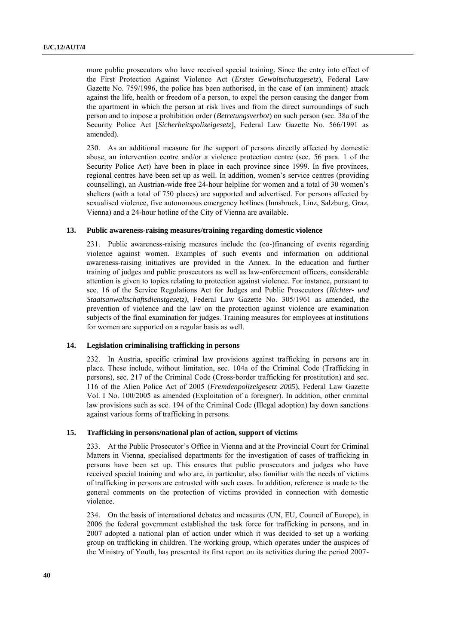more public prosecutors who have received special training. Since the entry into effect of the First Protection Against Violence Act (*Erstes Gewaltschutzgesetz*), Federal Law Gazette No. 759/1996, the police has been authorised, in the case of (an imminent) attack against the life, health or freedom of a person, to expel the person causing the danger from the apartment in which the person at risk lives and from the direct surroundings of such person and to impose a prohibition order (*Betretungsverbot*) on such person (sec. 38a of the Security Police Act [*Sicherheitspolizeigesetz*], Federal Law Gazette No. 566/1991 as amended).

230. As an additional measure for the support of persons directly affected by domestic abuse, an intervention centre and/or a violence protection centre (sec. 56 para. 1 of the Security Police Act) have been in place in each province since 1999. In five provinces, regional centres have been set up as well. In addition, women's service centres (providing counselling), an Austrian-wide free 24-hour helpline for women and a total of 30 women's shelters (with a total of 750 places) are supported and advertised. For persons affected by sexualised violence, five autonomous emergency hotlines (Innsbruck, Linz, Salzburg, Graz, Vienna) and a 24-hour hotline of the City of Vienna are available.

# **13. Public awareness-raising measures/training regarding domestic violence**

231. Public awareness-raising measures include the (co-)financing of events regarding violence against women. Examples of such events and information on additional awareness-raising initiatives are provided in the Annex. In the education and further training of judges and public prosecutors as well as law-enforcement officers, considerable attention is given to topics relating to protection against violence. For instance, pursuant to sec. 16 of the Service Regulations Act for Judges and Public Prosecutors (*Richter- und Staatsanwaltschaftsdienstgesetz)*, Federal Law Gazette No. 305/1961 as amended, the prevention of violence and the law on the protection against violence are examination subjects of the final examination for judges. Training measures for employees at institutions for women are supported on a regular basis as well.

#### **14. Legislation criminalising trafficking in persons**

232. In Austria, specific criminal law provisions against trafficking in persons are in place. These include, without limitation, sec. 104a of the Criminal Code (Trafficking in persons), sec. 217 of the Criminal Code (Cross-border trafficking for prostitution) and sec. 116 of the Alien Police Act of 2005 (*Fremdenpolizeigesetz 2005*), Federal Law Gazette Vol. I No. 100/2005 as amended (Exploitation of a foreigner). In addition, other criminal law provisions such as sec. 194 of the Criminal Code (Illegal adoption) lay down sanctions against various forms of trafficking in persons.

# **15. Trafficking in persons/national plan of action, support of victims**

233. At the Public Prosecutor's Office in Vienna and at the Provincial Court for Criminal Matters in Vienna, specialised departments for the investigation of cases of trafficking in persons have been set up. This ensures that public prosecutors and judges who have received special training and who are, in particular, also familiar with the needs of victims of trafficking in persons are entrusted with such cases. In addition, reference is made to the general comments on the protection of victims provided in connection with domestic violence.

234. On the basis of international debates and measures (UN, EU, Council of Europe), in 2006 the federal government established the task force for trafficking in persons, and in 2007 adopted a national plan of action under which it was decided to set up a working group on trafficking in children. The working group, which operates under the auspices of the Ministry of Youth, has presented its first report on its activities during the period 2007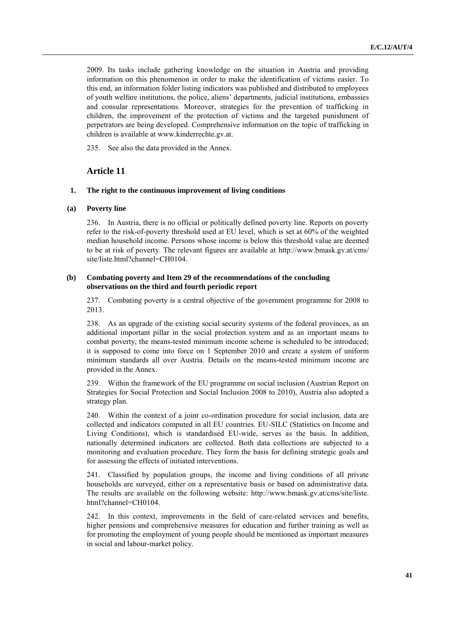2009. Its tasks include gathering knowledge on the situation in Austria and providing information on this phenomenon in order to make the identification of victims easier. To this end, an information folder listing indicators was published and distributed to employees of youth welfare institutions, the police, aliens' departments, judicial institutions, embassies and consular representations. Moreover, strategies for the prevention of trafficking in children, the improvement of the protection of victims and the targeted punishment of perpetrators are being developed. Comprehensive information on the topic of trafficking in children is available at [www.kinderrechte.gv.at.](http://www.kinderrechte.gv.at/)

235. See also the data provided in the Annex.

# **Article 11**

## **1. The right to the continuous improvement of living conditions**

#### **(a) Poverty line**

236. In Austria, there is no official or politically defined poverty line. Reports on poverty refer to the risk-of-poverty threshold used at EU level, which is set at 60% of the weighted median household income. Persons whose income is below this threshold value are deemed to be at risk of poverty. The relevant figures are available at [http://www.bmask.gv.at/cms/](http://www.bmask.gv.at/cms/site/liste.html?channel=CH0104)  [site/liste.html?channel=CH0104.](http://www.bmask.gv.at/cms/site/liste.html?channel=CH0104)

# **(b) Combating poverty and Item 29 of the recommendations of the concluding observations on the third and fourth periodic report**

237. Combating poverty is a central objective of the government programme for 2008 to 2013.

238. As an upgrade of the existing social security systems of the federal provinces, as an additional important pillar in the social protection system and as an important means to combat poverty, the means-tested minimum income scheme is scheduled to be introduced; it is supposed to come into force on 1 September 2010 and create a system of uniform minimum standards all over Austria. Details on the means-tested minimum income are provided in the Annex.

239. Within the framework of the EU programme on social inclusion (Austrian Report on Strategies for Social Protection and Social Inclusion 2008 to 2010), Austria also adopted a strategy plan.

240. Within the context of a joint co-ordination procedure for social inclusion, data are collected and indicators computed in all EU countries. EU-SILC (Statistics on Income and Living Conditions), which is standardised EU-wide, serves as the basis. In addition, nationally determined indicators are collected. Both data collections are subjected to a monitoring and evaluation procedure. They form the basis for defining strategic goals and for assessing the effects of initiated interventions.

241. Classified by population groups, the income and living conditions of all private households are surveyed, either on a representative basis or based on administrative data. The results are available on the following website: [http://www.bmask.gv.at/cms/site/liste.](http://www.bmask.gv.at/cms/site/liste.html?channel=CH0104)  [html?channel=CH0104.](http://www.bmask.gv.at/cms/site/liste.html?channel=CH0104)

242. In this context, improvements in the field of care-related services and benefits, higher pensions and comprehensive measures for education and further training as well as for promoting the employment of young people should be mentioned as important measures in social and labour-market policy.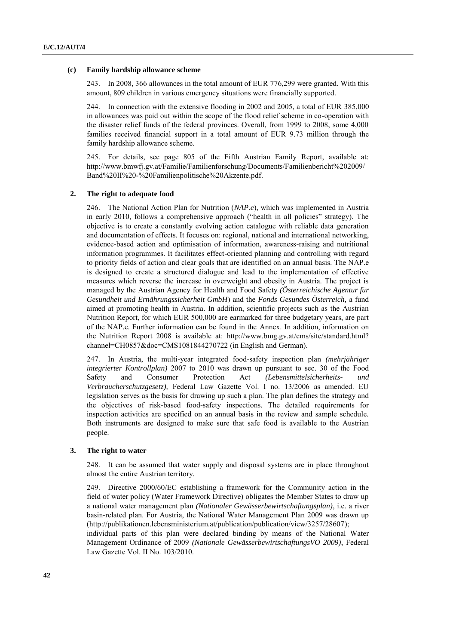#### **(c) Family hardship allowance scheme**

243. In 2008, 366 allowances in the total amount of EUR 776,299 were granted. With this amount, 809 children in various emergency situations were financially supported.

244. In connection with the extensive flooding in 2002 and 2005, a total of EUR 385,000 in allowances was paid out within the scope of the flood relief scheme in co-operation with the disaster relief funds of the federal provinces. Overall, from 1999 to 2008, some 4,000 families received financial support in a total amount of EUR 9.73 million through the family hardship allowance scheme.

245. For details, see page 805 of the Fifth Austrian Family Report, available at: [http://www.bmwfj.gv.at/Familie/Familienforschung/Documents/Familienbericht%202009/](http://www.bmwfj.gv.at/Familie/Familienforschung/Documents/Familienbericht%202009/Band%20II%20-%20Familienpolitische%20Akzente.pdf) [Band%20II%20-%20Familienpolitische%20Akzente.pdf.](http://www.bmwfj.gv.at/Familie/Familienforschung/Documents/Familienbericht%202009/Band%20II%20-%20Familienpolitische%20Akzente.pdf)

#### **2. The right to adequate food**

246. The National Action Plan for Nutrition (*NAP.e*), which was implemented in Austria in early 2010, follows a comprehensive approach ("health in all policies" strategy). The objective is to create a constantly evolving action catalogue with reliable data generation and documentation of effects. It focuses on: regional, national and international networking, evidence-based action and optimisation of information, awareness-raising and nutritional information programmes. It facilitates effect-oriented planning and controlling with regard to priority fields of action and clear goals that are identified on an annual basis. The NAP.e is designed to create a structured dialogue and lead to the implementation of effective measures which reverse the increase in overweight and obesity in Austria. The project is managed by the Austrian Agency for Health and Food Safety *(Österreichische Agentur für Gesundheit und Ernährungssicherheit GmbH*) and the *Fonds Gesundes Österreich,* a fund aimed at promoting health in Austria*.* In addition, scientific projects such as the Austrian Nutrition Report, for which EUR 500,000 are earmarked for three budgetary years, are part of the NAP.e. Further information can be found in the Annex. In addition, information on the Nutrition Report 2008 is available at: [http://www.bmg.gv.at/cms/site/standard.html?](http://www.bmg.gv.at/cms/site/standard.html?channel=CH0857&doc=CMS1081844270722)  [channel=CH0857&doc=CMS1081844270722](http://www.bmg.gv.at/cms/site/standard.html?channel=CH0857&doc=CMS1081844270722) (in English and German).

247. In Austria, the multi-year integrated food-safety inspection plan *(mehrjähriger integrierter Kontrollplan)* 2007 to 2010 was drawn up pursuant to sec. 30 of the Food Safety and Consumer Protection Act *(Lebensmittelsicherheits- und Verbraucherschutzgesetz),* Federal Law Gazette Vol. I no. 13/2006 as amended. EU legislation serves as the basis for drawing up such a plan. The plan defines the strategy and the objectives of risk-based food-safety inspections. The detailed requirements for inspection activities are specified on an annual basis in the review and sample schedule. Both instruments are designed to make sure that safe food is available to the Austrian people.

# **3. The right to water**

248. It can be assumed that water supply and disposal systems are in place throughout almost the entire Austrian territory.

249. Directive 2000/60/EC establishing a framework for the Community action in the field of water policy (Water Framework Directive) obligates the Member States to draw up a national water management plan *(Nationaler Gewässerbewirtschaftungsplan)*, i.e. a river basin-related plan. For Austria, the National Water Management Plan 2009 was drawn up [\(http://publikationen.lebensministerium.at/publication/publication/view/3257/28607\)](http://publikationen.lebensministerium.at/publication/publication/view/3257/28607);

individual parts of this plan were declared binding by means of the National Water Management Ordinance of 2009 *(Nationale GewässerbewirtschaftungsVO 2009)*, Federal Law Gazette Vol. II No. 103/2010.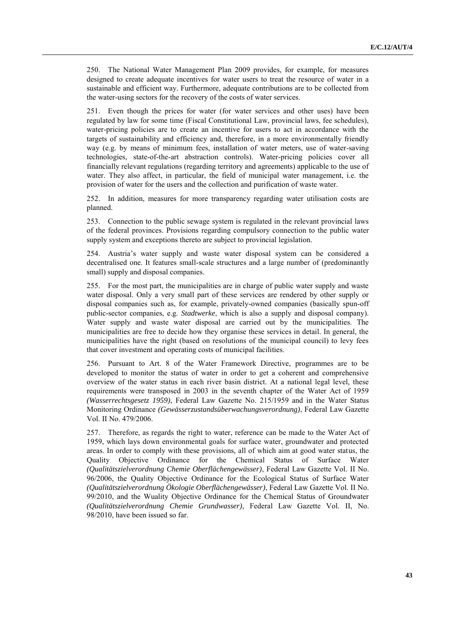250. The National Water Management Plan 2009 provides, for example, for measures designed to create adequate incentives for water users to treat the resource of water in a sustainable and efficient way. Furthermore, adequate contributions are to be collected from the water-using sectors for the recovery of the costs of water services.

251. Even though the prices for water (for water services and other uses) have been regulated by law for some time (Fiscal Constitutional Law, provincial laws, fee schedules), water-pricing policies are to create an incentive for users to act in accordance with the targets of sustainability and efficiency and, therefore, in a more environmentally friendly way (e.g. by means of minimum fees, installation of water meters, use of water-saving technologies, state-of-the-art abstraction controls). Water-pricing policies cover all financially relevant regulations (regarding territory and agreements) applicable to the use of water. They also affect, in particular, the field of municipal water management, i.e. the provision of water for the users and the collection and purification of waste water.

252. In addition, measures for more transparency regarding water utilisation costs are planned.

253. Connection to the public sewage system is regulated in the relevant provincial laws of the federal provinces. Provisions regarding compulsory connection to the public water supply system and exceptions thereto are subject to provincial legislation.

254. Austria's water supply and waste water disposal system can be considered a decentralised one. It features small-scale structures and a large number of (predominantly small) supply and disposal companies.

255. For the most part, the municipalities are in charge of public water supply and waste water disposal. Only a very small part of these services are rendered by other supply or disposal companies such as, for example, privately-owned companies (basically spun-off public-sector companies, e.g. *Stadtwerke*, which is also a supply and disposal company). Water supply and waste water disposal are carried out by the municipalities. The municipalities are free to decide how they organise these services in detail. In general, the municipalities have the right (based on resolutions of the municipal council) to levy fees that cover investment and operating costs of municipal facilities.

256. Pursuant to Art. 8 of the Water Framework Directive, programmes are to be developed to monitor the status of water in order to get a coherent and comprehensive overview of the water status in each river basin district. At a national legal level, these requirements were transposed in 2003 in the seventh chapter of the Water Act of 1959 *(Wasserrechtsgesetz 1959)*, Federal Law Gazette No. 215/1959 and in the Water Status Monitoring Ordinance *(Gewässerzustandsüberwachungsverordnung)*, Federal Law Gazette Vol. II No. 479/2006.

257. Therefore, as regards the right to water, reference can be made to the Water Act of 1959, which lays down environmental goals for surface water, groundwater and protected areas. In order to comply with these provisions, all of which aim at good water status, the Quality Objective Ordinance for the Chemical Status of Surface Water *(Qualitätszielverordnung Chemie Oberflächengewässer)*, Federal Law Gazette Vol. II No. 96/2006, the Quality Objective Ordinance for the Ecological Status of Surface Water *(Qualitätszielverordnung Ökologie Oberflächengewässer)*, Federal Law Gazette Vol. II No. 99/2010, and the Wuality Objective Ordinance for the Chemical Status of Groundwater *(Qualitätszielverordnung Chemie Grundwasser)*, Federal Law Gazette Vol. II, No. 98/2010, have been issued so far.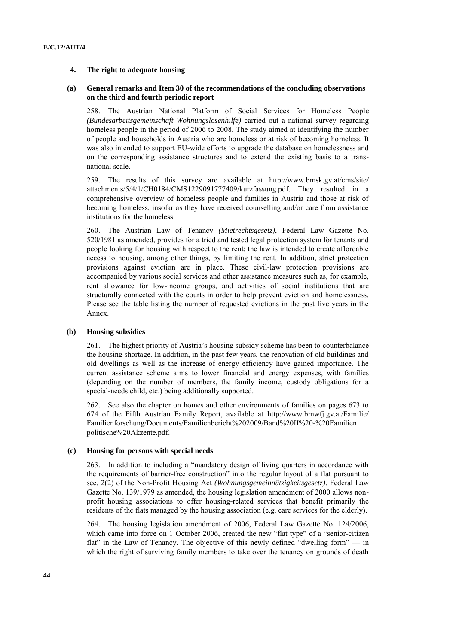## **4. The right to adequate housing**

# **(a) General remarks and Item 30 of the recommendations of the concluding observations on the third and fourth periodic report**

258. The Austrian National Platform of Social Services for Homeless People *(Bundesarbeitsgemeinschaft Wohnungslosenhilfe)* carried out a national survey regarding homeless people in the period of 2006 to 2008. The study aimed at identifying the number of people and households in Austria who are homeless or at risk of becoming homeless. It was also intended to support EU-wide efforts to upgrade the database on homelessness and on the corresponding assistance structures and to extend the existing basis to a transnational scale.

259. The results of this survey are available at [http://www.bmsk.gv.at/cms/site/](http://www.bmsk.gv.at/cms/site/attachments%20/)  [attachments/5](http://www.bmsk.gv.at/cms/site/attachments%20/)/4/1/CH0184/CMS1229091777409/kurzfassung.pdf. They resulted in a comprehensive overview of homeless people and families in Austria and those at risk of becoming homeless, insofar as they have received counselling and/or care from assistance institutions for the homeless.

260. The Austrian Law of Tenancy *(Mietrechtsgesetz)*, Federal Law Gazette No. 520/1981 as amended, provides for a tried and tested legal protection system for tenants and people looking for housing with respect to the rent; the law is intended to create affordable access to housing, among other things, by limiting the rent. In addition, strict protection provisions against eviction are in place. These civil-law protection provisions are accompanied by various social services and other assistance measures such as, for example, rent allowance for low-income groups, and activities of social institutions that are structurally connected with the courts in order to help prevent eviction and homelessness. Please see the table listing the number of requested evictions in the past five years in the Annex.

# **(b) Housing subsidies**

261. The highest priority of Austria's housing subsidy scheme has been to counterbalance the housing shortage. In addition, in the past few years, the renovation of old buildings and old dwellings as well as the increase of energy efficiency have gained importance. The current assistance scheme aims to lower financial and energy expenses, with families (depending on the number of members, the family income, custody obligations for a special-needs child, etc.) being additionally supported.

262. See also the chapter on homes and other environments of families on pages 673 to 674 of the Fifth Austrian Family Report, available at [http://www.bmwfj.gv.at/Familie/](http://www.bmwfj.gv.at/Familie/Familienforschung/Documents/Familienbericht%202009/Band%20II%20-%20Familienpolitische%20Akzente.pdf)  [Familienforschung/Documents/Familienbericht%202009/Band%20II%20-%20Familien](http://www.bmwfj.gv.at/Familie/Familienforschung/Documents/Familienbericht%202009/Band%20II%20-%20Familienpolitische%20Akzente.pdf)  [politische%20Akzente.pdf.](http://www.bmwfj.gv.at/Familie/Familienforschung/Documents/Familienbericht%202009/Band%20II%20-%20Familienpolitische%20Akzente.pdf)

# **(c) Housing for persons with special needs**

263. In addition to including a "mandatory design of living quarters in accordance with the requirements of barrier-free construction‖ into the regular layout of a flat pursuant to sec. 2(2) of the Non-Profit Housing Act *(Wohnungsgemeinnützigkeitsgesetz)*, Federal Law Gazette No. 139/1979 as amended, the housing legislation amendment of 2000 allows nonprofit housing associations to offer housing-related services that benefit primarily the residents of the flats managed by the housing association (e.g. care services for the elderly).

264. The housing legislation amendment of 2006, Federal Law Gazette No. 124/2006, which came into force on 1 October 2006, created the new "flat type" of a "senior-citizen flat" in the Law of Tenancy. The objective of this newly defined "dwelling form" — in which the right of surviving family members to take over the tenancy on grounds of death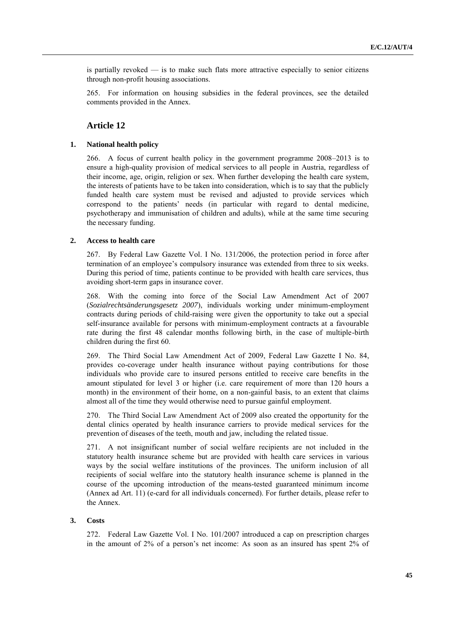is partially revoked  $\frac{1}{1}$  is to make such flats more attractive especially to senior citizens through non-profit housing associations.

265. For information on housing subsidies in the federal provinces, see the detailed comments provided in the Annex.

# **Article 12**

#### **1. National health policy**

266. A focus of current health policy in the government programme 2008–2013 is to ensure a high-quality provision of medical services to all people in Austria, regardless of their income, age, origin, religion or sex. When further developing the health care system, the interests of patients have to be taken into consideration, which is to say that the publicly funded health care system must be revised and adjusted to provide services which correspond to the patients' needs (in particular with regard to dental medicine, psychotherapy and immunisation of children and adults), while at the same time securing the necessary funding.

# **2. Access to health care**

267. By Federal Law Gazette Vol. I No. 131/2006, the protection period in force after termination of an employee's compulsory insurance was extended from three to six weeks. During this period of time, patients continue to be provided with health care services, thus avoiding short-term gaps in insurance cover.

268. With the coming into force of the Social Law Amendment Act of 2007 (*Sozialrechtsänderungsgesetz 2007*), individuals working under minimum-employment contracts during periods of child-raising were given the opportunity to take out a special self-insurance available for persons with minimum-employment contracts at a favourable rate during the first 48 calendar months following birth, in the case of multiple-birth children during the first 60.

269. The Third Social Law Amendment Act of 2009, Federal Law Gazette I No. 84, provides co-coverage under health insurance without paying contributions for those individuals who provide care to insured persons entitled to receive care benefits in the amount stipulated for level 3 or higher (i.e. care requirement of more than 120 hours a month) in the environment of their home, on a non-gainful basis, to an extent that claims almost all of the time they would otherwise need to pursue gainful employment.

270. The Third Social Law Amendment Act of 2009 also created the opportunity for the dental clinics operated by health insurance carriers to provide medical services for the prevention of diseases of the teeth, mouth and jaw, including the related tissue.

271. A not insignificant number of social welfare recipients are not included in the statutory health insurance scheme but are provided with health care services in various ways by the social welfare institutions of the provinces. The uniform inclusion of all recipients of social welfare into the statutory health insurance scheme is planned in the course of the upcoming introduction of the means-tested guaranteed minimum income (Annex ad Art. 11) (e-card for all individuals concerned). For further details, please refer to the Annex.

## **3. Costs**

272. Federal Law Gazette Vol. I No. 101/2007 introduced a cap on prescription charges in the amount of 2% of a person's net income: As soon as an insured has spent 2% of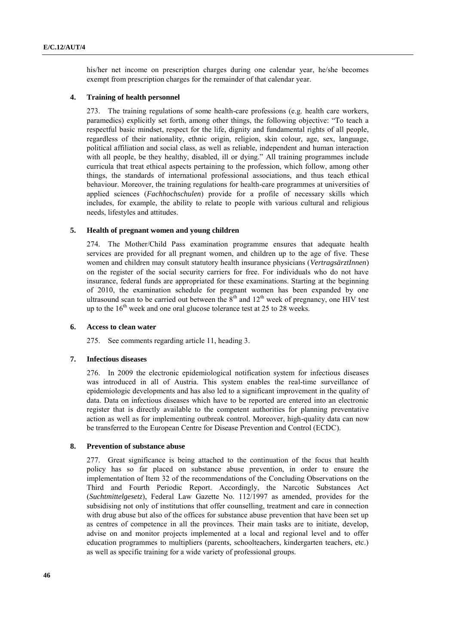his/her net income on prescription charges during one calendar year, he/she becomes exempt from prescription charges for the remainder of that calendar year.

# **4. Training of health personnel**

273. The training regulations of some health-care professions (e.g. health care workers, paramedics) explicitly set forth, among other things, the following objective: "To teach a respectful basic mindset, respect for the life, dignity and fundamental rights of all people, regardless of their nationality, ethnic origin, religion, skin colour, age, sex, language, political affiliation and social class, as well as reliable, independent and human interaction with all people, be they healthy, disabled, ill or dying." All training programmes include curricula that treat ethical aspects pertaining to the profession, which follow, among other things, the standards of international professional associations, and thus teach ethical behaviour. Moreover, the training regulations for health-care programmes at universities of applied sciences (*Fachhochschulen*) provide for a profile of necessary skills which includes, for example, the ability to relate to people with various cultural and religious needs, lifestyles and attitudes.

# **5. Health of pregnant women and young children**

274. The Mother/Child Pass examination programme ensures that adequate health services are provided for all pregnant women, and children up to the age of five. These women and children may consult statutory health insurance physicians (*VertragsärztInnen*) on the register of the social security carriers for free. For individuals who do not have insurance, federal funds are appropriated for these examinations. Starting at the beginning of 2010, the examination schedule for pregnant women has been expanded by one ultrasound scan to be carried out between the  $8<sup>th</sup>$  and  $12<sup>th</sup>$  week of pregnancy, one HIV test up to the  $16<sup>th</sup>$  week and one oral glucose tolerance test at 25 to 28 weeks.

# **6. Access to clean water**

275. See comments regarding article 11, heading 3.

# **7. Infectious diseases**

276. In 2009 the electronic epidemiological notification system for infectious diseases was introduced in all of Austria. This system enables the real-time surveillance of epidemiologic developments and has also led to a significant improvement in the quality of data. Data on infectious diseases which have to be reported are entered into an electronic register that is directly available to the competent authorities for planning preventative action as well as for implementing outbreak control. Moreover, high-quality data can now be transferred to the European Centre for Disease Prevention and Control (ECDC).

# **8. Prevention of substance abuse**

277. Great significance is being attached to the continuation of the focus that health policy has so far placed on substance abuse prevention, in order to ensure the implementation of Item 32 of the recommendations of the Concluding Observations on the Third and Fourth Periodic Report. Accordingly, the Narcotic Substances Act (*Suchtmittelgesetz*), Federal Law Gazette No. 112/1997 as amended, provides for the subsidising not only of institutions that offer counselling, treatment and care in connection with drug abuse but also of the offices for substance abuse prevention that have been set up as centres of competence in all the provinces. Their main tasks are to initiate, develop, advise on and monitor projects implemented at a local and regional level and to offer education programmes to multipliers (parents, schoolteachers, kindergarten teachers, etc.) as well as specific training for a wide variety of professional groups.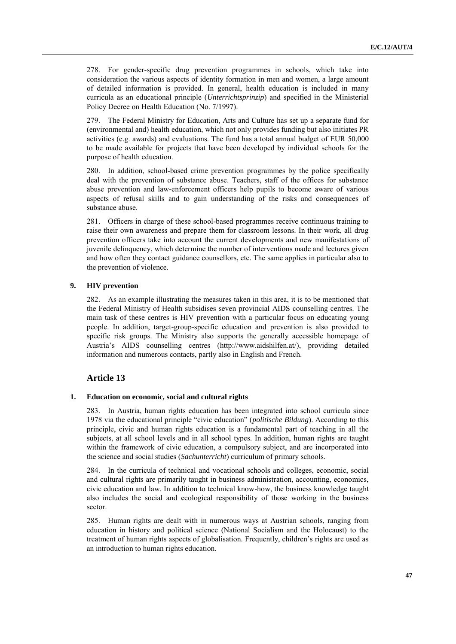278. For gender-specific drug prevention programmes in schools, which take into consideration the various aspects of identity formation in men and women, a large amount of detailed information is provided. In general, health education is included in many curricula as an educational principle (*Unterrichtsprinzip*) and specified in the Ministerial Policy Decree on Health Education (No. 7/1997).

279. The Federal Ministry for Education, Arts and Culture has set up a separate fund for (environmental and) health education, which not only provides funding but also initiates PR activities (e.g. awards) and evaluations. The fund has a total annual budget of EUR 50,000 to be made available for projects that have been developed by individual schools for the purpose of health education.

280. In addition, school-based crime prevention programmes by the police specifically deal with the prevention of substance abuse. Teachers, staff of the offices for substance abuse prevention and law-enforcement officers help pupils to become aware of various aspects of refusal skills and to gain understanding of the risks and consequences of substance abuse.

281. Officers in charge of these school-based programmes receive continuous training to raise their own awareness and prepare them for classroom lessons. In their work, all drug prevention officers take into account the current developments and new manifestations of juvenile delinquency, which determine the number of interventions made and lectures given and how often they contact guidance counsellors, etc. The same applies in particular also to the prevention of violence.

# **9. HIV prevention**

282. As an example illustrating the measures taken in this area, it is to be mentioned that the Federal Ministry of Health subsidises seven provincial AIDS counselling centres. The main task of these centres is HIV prevention with a particular focus on educating young people. In addition, target-group-specific education and prevention is also provided to specific risk groups. The Ministry also supports the generally accessible homepage of Austria's AIDS counselling centres ([http://www.aidshilfen.at/\)](http://www.aidshilfen.at/), providing detailed information and numerous contacts, partly also in English and French.

# **Article 13**

## **1. Education on economic, social and cultural rights**

283. In Austria, human rights education has been integrated into school curricula since 1978 via the educational principle "civic education" (*politische Bildung*). According to this principle, civic and human rights education is a fundamental part of teaching in all the subjects, at all school levels and in all school types. In addition, human rights are taught within the framework of civic education, a compulsory subject, and are incorporated into the science and social studies (*Sachunterricht*) curriculum of primary schools.

284. In the curricula of technical and vocational schools and colleges, economic, social and cultural rights are primarily taught in business administration, accounting, economics, civic education and law. In addition to technical know-how, the business knowledge taught also includes the social and ecological responsibility of those working in the business sector.

285. Human rights are dealt with in numerous ways at Austrian schools, ranging from education in history and political science (National Socialism and the Holocaust) to the treatment of human rights aspects of globalisation. Frequently, children's rights are used as an introduction to human rights education.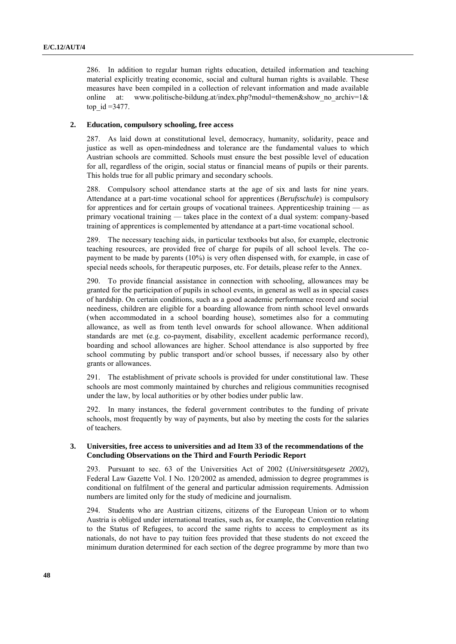286. In addition to regular human rights education, detailed information and teaching material explicitly treating economic, social and cultural human rights is available. These measures have been compiled in a collection of relevant information and made available online at: www.politische-bildung.at/index.php?modul=themen&show no archiv=1& top  $id = 3477$ .

# **2. Education, compulsory schooling, free access**

287. As laid down at constitutional level, democracy, humanity, solidarity, peace and justice as well as open-mindedness and tolerance are the fundamental values to which Austrian schools are committed. Schools must ensure the best possible level of education for all, regardless of the origin, social status or financial means of pupils or their parents. This holds true for all public primary and secondary schools.

288. Compulsory school attendance starts at the age of six and lasts for nine years. Attendance at a part-time vocational school for apprentices (*Berufsschule*) is compulsory for apprentices and for certain groups of vocational trainees. Apprenticeship training — as primary vocational training — takes place in the context of a dual system: company-based training of apprentices is complemented by attendance at a part-time vocational school.

289. The necessary teaching aids, in particular textbooks but also, for example, electronic teaching resources, are provided free of charge for pupils of all school levels. The copayment to be made by parents (10%) is very often dispensed with, for example, in case of special needs schools, for therapeutic purposes, etc. For details, please refer to the Annex.

290. To provide financial assistance in connection with schooling, allowances may be granted for the participation of pupils in school events, in general as well as in special cases of hardship. On certain conditions, such as a good academic performance record and social neediness, children are eligible for a boarding allowance from ninth school level onwards (when accommodated in a school boarding house), sometimes also for a commuting allowance, as well as from tenth level onwards for school allowance. When additional standards are met (e.g. co-payment, disability, excellent academic performance record), boarding and school allowances are higher. School attendance is also supported by free school commuting by public transport and/or school busses, if necessary also by other grants or allowances.

291. The establishment of private schools is provided for under constitutional law. These schools are most commonly maintained by churches and religious communities recognised under the law, by local authorities or by other bodies under public law.

292. In many instances, the federal government contributes to the funding of private schools, most frequently by way of payments, but also by meeting the costs for the salaries of teachers.

# **3. Universities, free access to universities and ad Item 33 of the recommendations of the Concluding Observations on the Third and Fourth Periodic Report**

293. Pursuant to sec. 63 of the Universities Act of 2002 (*Universitätsgesetz 2002*), Federal Law Gazette Vol. I No. 120/2002 as amended, admission to degree programmes is conditional on fulfilment of the general and particular admission requirements. Admission numbers are limited only for the study of medicine and journalism.

294. Students who are Austrian citizens, citizens of the European Union or to whom Austria is obliged under international treaties, such as, for example, the Convention relating to the Status of Refugees, to accord the same rights to access to employment as its nationals, do not have to pay tuition fees provided that these students do not exceed the minimum duration determined for each section of the degree programme by more than two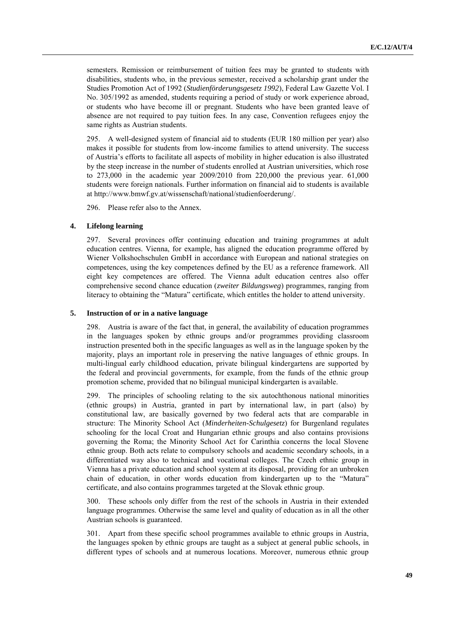semesters. Remission or reimbursement of tuition fees may be granted to students with disabilities, students who, in the previous semester, received a scholarship grant under the Studies Promotion Act of 1992 (*Studienförderungsgesetz 1992*), Federal Law Gazette Vol. I No. 305/1992 as amended, students requiring a period of study or work experience abroad, or students who have become ill or pregnant. Students who have been granted leave of absence are not required to pay tuition fees. In any case, Convention refugees enjoy the same rights as Austrian students.

295. A well-designed system of financial aid to students (EUR 180 million per year) also makes it possible for students from low-income families to attend university. The success of Austria's efforts to facilitate all aspects of mobility in higher education is also illustrated by the steep increase in the number of students enrolled at Austrian universities, which rose to 273,000 in the academic year 2009/2010 from 220,000 the previous year. 61,000 students were foreign nationals. Further information on financial aid to students is available at [http://www.bmwf.gv.at/wissenschaft/national/studienfoerderung/.](http://www.bmwf.gv.at/wissenschaft/national/studienfoerderung/)

296. Please refer also to the Annex.

#### **4. Lifelong learning**

297. Several provinces offer continuing education and training programmes at adult education centres. Vienna, for example, has aligned the education programme offered by Wiener Volkshochschulen GmbH in accordance with European and national strategies on competences, using the key competences defined by the EU as a reference framework. All eight key competences are offered. The Vienna adult education centres also offer comprehensive second chance education (*zweiter Bildungsweg*) programmes, ranging from literacy to obtaining the "Matura" certificate, which entitles the holder to attend university.

#### **5. Instruction of or in a native language**

298. Austria is aware of the fact that, in general, the availability of education programmes in the languages spoken by ethnic groups and/or programmes providing classroom instruction presented both in the specific languages as well as in the language spoken by the majority, plays an important role in preserving the native languages of ethnic groups. In multi-lingual early childhood education, private bilingual kindergartens are supported by the federal and provincial governments, for example, from the funds of the ethnic group promotion scheme, provided that no bilingual municipal kindergarten is available.

299. The principles of schooling relating to the six autochthonous national minorities (ethnic groups) in Austria, granted in part by international law, in part (also) by constitutional law, are basically governed by two federal acts that are comparable in structure: The Minority School Act (*Minderheiten-Schulgesetz*) for Burgenland regulates schooling for the local Croat and Hungarian ethnic groups and also contains provisions governing the Roma; the Minority School Act for Carinthia concerns the local Slovene ethnic group. Both acts relate to compulsory schools and academic secondary schools, in a differentiated way also to technical and vocational colleges. The Czech ethnic group in Vienna has a private education and school system at its disposal, providing for an unbroken chain of education, in other words education from kindergarten up to the "Matura" certificate, and also contains programmes targeted at the Slovak ethnic group.

300. These schools only differ from the rest of the schools in Austria in their extended language programmes. Otherwise the same level and quality of education as in all the other Austrian schools is guaranteed.

301. Apart from these specific school programmes available to ethnic groups in Austria, the languages spoken by ethnic groups are taught as a subject at general public schools, in different types of schools and at numerous locations. Moreover, numerous ethnic group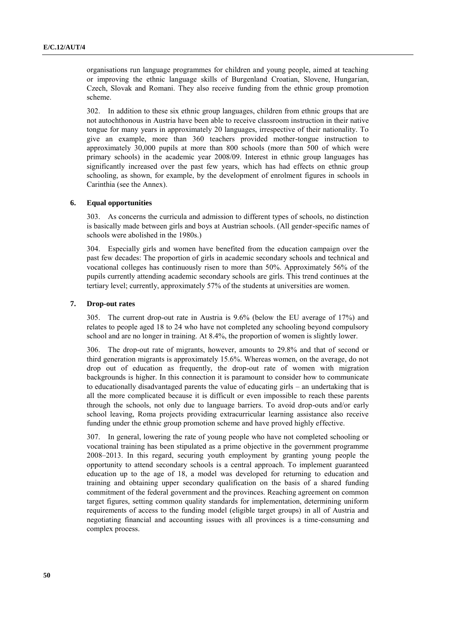organisations run language programmes for children and young people, aimed at teaching or improving the ethnic language skills of Burgenland Croatian, Slovene, Hungarian, Czech, Slovak and Romani. They also receive funding from the ethnic group promotion scheme.

302. In addition to these six ethnic group languages, children from ethnic groups that are not autochthonous in Austria have been able to receive classroom instruction in their native tongue for many years in approximately 20 languages, irrespective of their nationality. To give an example, more than 360 teachers provided mother-tongue instruction to approximately 30,000 pupils at more than 800 schools (more than 500 of which were primary schools) in the academic year 2008/09. Interest in ethnic group languages has significantly increased over the past few years, which has had effects on ethnic group schooling, as shown, for example, by the development of enrolment figures in schools in Carinthia (see the Annex).

## **6. Equal opportunities**

303. As concerns the curricula and admission to different types of schools, no distinction is basically made between girls and boys at Austrian schools. (All gender-specific names of schools were abolished in the 1980s.)

304. Especially girls and women have benefited from the education campaign over the past few decades: The proportion of girls in academic secondary schools and technical and vocational colleges has continuously risen to more than 50%. Approximately 56% of the pupils currently attending academic secondary schools are girls. This trend continues at the tertiary level; currently, approximately 57% of the students at universities are women.

#### **7. Drop-out rates**

305. The current drop-out rate in Austria is 9.6% (below the EU average of 17%) and relates to people aged 18 to 24 who have not completed any schooling beyond compulsory school and are no longer in training. At 8.4%, the proportion of women is slightly lower.

306. The drop-out rate of migrants, however, amounts to 29.8% and that of second or third generation migrants is approximately 15.6%. Whereas women, on the average, do not drop out of education as frequently, the drop-out rate of women with migration backgrounds is higher. In this connection it is paramount to consider how to communicate to educationally disadvantaged parents the value of educating girls – an undertaking that is all the more complicated because it is difficult or even impossible to reach these parents through the schools, not only due to language barriers. To avoid drop-outs and/or early school leaving, Roma projects providing extracurricular learning assistance also receive funding under the ethnic group promotion scheme and have proved highly effective.

307. In general, lowering the rate of young people who have not completed schooling or vocational training has been stipulated as a prime objective in the government programme 2008–2013. In this regard, securing youth employment by granting young people the opportunity to attend secondary schools is a central approach. To implement guaranteed education up to the age of 18, a model was developed for returning to education and training and obtaining upper secondary qualification on the basis of a shared funding commitment of the federal government and the provinces. Reaching agreement on common target figures, setting common quality standards for implementation, determining uniform requirements of access to the funding model (eligible target groups) in all of Austria and negotiating financial and accounting issues with all provinces is a time-consuming and complex process.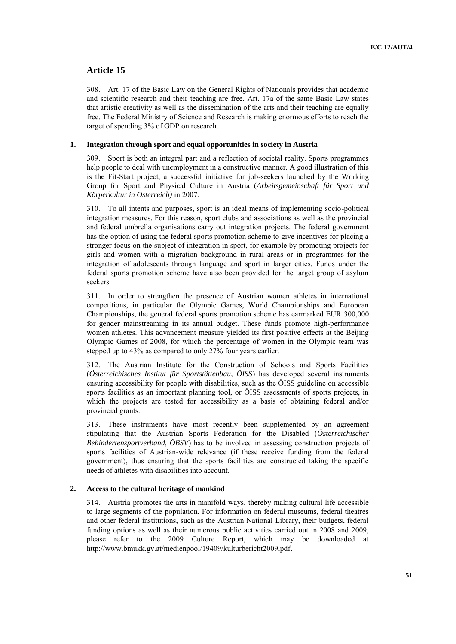# **Article 15**

308. Art. 17 of the Basic Law on the General Rights of Nationals provides that academic and scientific research and their teaching are free. Art. 17a of the same Basic Law states that artistic creativity as well as the dissemination of the arts and their teaching are equally free. The Federal Ministry of Science and Research is making enormous efforts to reach the target of spending 3% of GDP on research.

# **1. Integration through sport and equal opportunities in society in Austria**

309. Sport is both an integral part and a reflection of societal reality. Sports programmes help people to deal with unemployment in a constructive manner. A good illustration of this is the Fit-Start project, a successful initiative for job-seekers launched by the Working Group for Sport and Physical Culture in Austria (*Arbeitsgemeinschaft für Sport und Körperkultur in Österreich)* in 2007.

310. To all intents and purposes, sport is an ideal means of implementing socio-political integration measures. For this reason, sport clubs and associations as well as the provincial and federal umbrella organisations carry out integration projects. The federal government has the option of using the federal sports promotion scheme to give incentives for placing a stronger focus on the subject of integration in sport, for example by promoting projects for girls and women with a migration background in rural areas or in programmes for the integration of adolescents through language and sport in larger cities. Funds under the federal sports promotion scheme have also been provided for the target group of asylum seekers.

311. In order to strengthen the presence of Austrian women athletes in international competitions, in particular the Olympic Games, World Championships and European Championships, the general federal sports promotion scheme has earmarked EUR 300,000 for gender mainstreaming in its annual budget. These funds promote high-performance women athletes. This advancement measure yielded its first positive effects at the Beijing Olympic Games of 2008, for which the percentage of women in the Olympic team was stepped up to 43% as compared to only 27% four years earlier.

312. The Austrian Institute for the Construction of Schools and Sports Facilities (*Österreichisches Institut für Sportstättenbau, ÖISS*) has developed several instruments ensuring accessibility for people with disabilities, such as the ÖISS guideline on accessible sports facilities as an important planning tool, or ÖISS assessments of sports projects, in which the projects are tested for accessibility as a basis of obtaining federal and/or provincial grants.

313. These instruments have most recently been supplemented by an agreement stipulating that the Austrian Sports Federation for the Disabled (*Österreichischer Behindertensportverband, ÖBSV*) has to be involved in assessing construction projects of sports facilities of Austrian-wide relevance (if these receive funding from the federal government), thus ensuring that the sports facilities are constructed taking the specific needs of athletes with disabilities into account.

# **2. Access to the cultural heritage of mankind**

314. Austria promotes the arts in manifold ways, thereby making cultural life accessible to large segments of the population. For information on federal museums, federal theatres and other federal institutions, such as the Austrian National Library, their budgets, federal funding options as well as their numerous public activities carried out in 2008 and 2009, please refer to the 2009 Culture Report, which may be downloaded at [http://www.bmukk.gv.at/medienpool/19409/kulturbericht2009.pdf.](http://www.bmukk.gv.at/medienpool/19409/kulturbericht2009.pdf)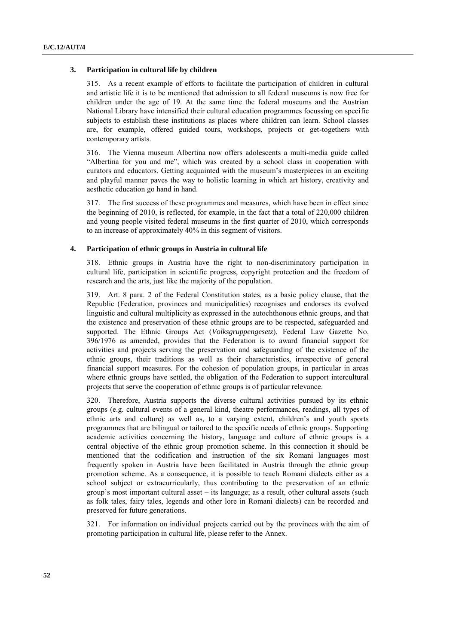## **3. Participation in cultural life by children**

315. As a recent example of efforts to facilitate the participation of children in cultural and artistic life it is to be mentioned that admission to all federal museums is now free for children under the age of 19. At the same time the federal museums and the Austrian National Library have intensified their cultural education programmes focussing on specific subjects to establish these institutions as places where children can learn. School classes are, for example, offered guided tours, workshops, projects or get-togethers with contemporary artists.

316. The Vienna museum Albertina now offers adolescents a multi-media guide called "Albertina for you and me", which was created by a school class in cooperation with curators and educators. Getting acquainted with the museum's masterpieces in an exciting and playful manner paves the way to holistic learning in which art history, creativity and aesthetic education go hand in hand.

317. The first success of these programmes and measures, which have been in effect since the beginning of 2010, is reflected, for example, in the fact that a total of 220,000 children and young people visited federal museums in the first quarter of 2010, which corresponds to an increase of approximately 40% in this segment of visitors.

#### **4. Participation of ethnic groups in Austria in cultural life**

318. Ethnic groups in Austria have the right to non-discriminatory participation in cultural life, participation in scientific progress, copyright protection and the freedom of research and the arts, just like the majority of the population.

319. Art. 8 para. 2 of the Federal Constitution states, as a basic policy clause, that the Republic (Federation, provinces and municipalities) recognises and endorses its evolved linguistic and cultural multiplicity as expressed in the autochthonous ethnic groups, and that the existence and preservation of these ethnic groups are to be respected, safeguarded and supported. The Ethnic Groups Act (*Volksgruppengesetz*), Federal Law Gazette No. 396/1976 as amended, provides that the Federation is to award financial support for activities and projects serving the preservation and safeguarding of the existence of the ethnic groups, their traditions as well as their characteristics, irrespective of general financial support measures. For the cohesion of population groups, in particular in areas where ethnic groups have settled, the obligation of the Federation to support intercultural projects that serve the cooperation of ethnic groups is of particular relevance.

320. Therefore, Austria supports the diverse cultural activities pursued by its ethnic groups (e.g. cultural events of a general kind, theatre performances, readings, all types of ethnic arts and culture) as well as, to a varying extent, children's and youth sports programmes that are bilingual or tailored to the specific needs of ethnic groups. Supporting academic activities concerning the history, language and culture of ethnic groups is a central objective of the ethnic group promotion scheme. In this connection it should be mentioned that the codification and instruction of the six Romani languages most frequently spoken in Austria have been facilitated in Austria through the ethnic group promotion scheme. As a consequence, it is possible to teach Romani dialects either as a school subject or extracurricularly, thus contributing to the preservation of an ethnic group's most important cultural asset – its language; as a result, other cultural assets (such as folk tales, fairy tales, legends and other lore in Romani dialects) can be recorded and preserved for future generations.

321. For information on individual projects carried out by the provinces with the aim of promoting participation in cultural life, please refer to the Annex.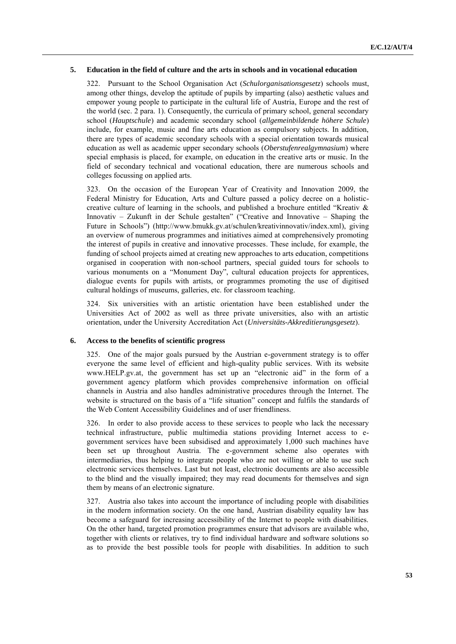## **5. Education in the field of culture and the arts in schools and in vocational education**

322. Pursuant to the School Organisation Act (*Schulorganisationsgesetz*) schools must, among other things, develop the aptitude of pupils by imparting (also) aesthetic values and empower young people to participate in the cultural life of Austria, Europe and the rest of the world (sec. 2 para. 1). Consequently, the curricula of primary school, general secondary school (*Hauptschule*) and academic secondary school (*allgemeinbildende höhere Schule*) include, for example, music and fine arts education as compulsory subjects. In addition, there are types of academic secondary schools with a special orientation towards musical education as well as academic upper secondary schools (*Oberstufenrealgymnasium*) where special emphasis is placed, for example, on education in the creative arts or music. In the field of secondary technical and vocational education, there are numerous schools and colleges focussing on applied arts.

323. On the occasion of the European Year of Creativity and Innovation 2009, the Federal Ministry for Education, Arts and Culture passed a policy decree on a holisticcreative culture of learning in the schools, and published a brochure entitled "Kreativ  $\&$ Innovativ – Zukunft in der Schule gestalten" ("Creative and Innovative – Shaping the Future in Schools") ([http://www.bmukk.gv.at/schulen/kreativinnovativ/index.xml\)](http://www.bmukk.gv.at/schulen/kreativinnovativ/index.xml), giving an overview of numerous programmes and initiatives aimed at comprehensively promoting the interest of pupils in creative and innovative processes. These include, for example, the funding of school projects aimed at creating new approaches to arts education, competitions organised in cooperation with non-school partners, special guided tours for schools to various monuments on a "Monument Day", cultural education projects for apprentices, dialogue events for pupils with artists, or programmes promoting the use of digitised cultural holdings of museums, galleries, etc. for classroom teaching.

324. Six universities with an artistic orientation have been established under the Universities Act of 2002 as well as three private universities, also with an artistic orientation, under the University Accreditation Act (*Universitäts-Akkreditierungsgesetz*).

## **6. Access to the benefits of scientific progress**

325. One of the major goals pursued by the Austrian e-government strategy is to offer everyone the same level of efficient and high-quality public services. With its website [www.HELP.gv.at](../../../Documents%20and%20Settings/Dokumente%20und%20Einstellungen/Dokumente%20und%20Einstellungen/Dokumente%20und%20Einstellungen/kuspet.BKA.000/Lokale%20Einstellungen/Temporary%20Internet%20Files/OLK51B/www.HELP.gv.at), the government has set up an "electronic aid" in the form of a government agency platform which provides comprehensive information on official channels in Austria and also handles administrative procedures through the Internet. The website is structured on the basis of a "life situation" concept and fulfils the standards of the Web Content Accessibility Guidelines and of user friendliness.

326. In order to also provide access to these services to people who lack the necessary technical infrastructure, public multimedia stations providing Internet access to egovernment services have been subsidised and approximately 1,000 such machines have been set up throughout Austria. The e-government scheme also operates with intermediaries, thus helping to integrate people who are not willing or able to use such electronic services themselves. Last but not least, electronic documents are also accessible to the blind and the visually impaired; they may read documents for themselves and sign them by means of an electronic signature.

327. Austria also takes into account the importance of including people with disabilities in the modern information society. On the one hand, Austrian disability equality law has become a safeguard for increasing accessibility of the Internet to people with disabilities. On the other hand, targeted promotion programmes ensure that advisors are available who, together with clients or relatives, try to find individual hardware and software solutions so as to provide the best possible tools for people with disabilities. In addition to such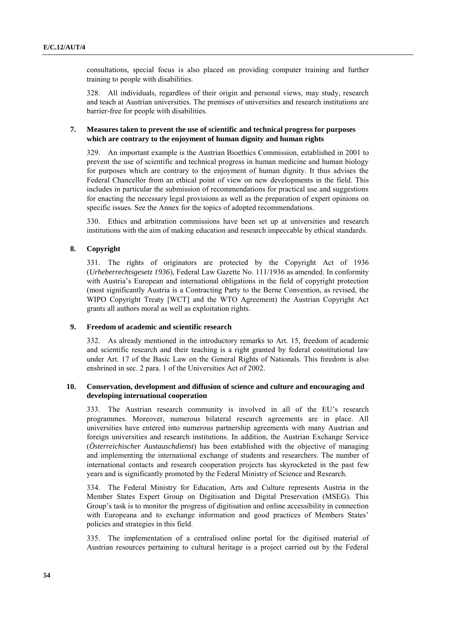consultations, special focus is also placed on providing computer training and further training to people with disabilities.

328. All individuals, regardless of their origin and personal views, may study, research and teach at Austrian universities. The premises of universities and research institutions are barrier-free for people with disabilities.

# **7. Measures taken to prevent the use of scientific and technical progress for purposes which are contrary to the enjoyment of human dignity and human rights**

329. An important example is the Austrian Bioethics Commission, established in 2001 to prevent the use of scientific and technical progress in human medicine and human biology for purposes which are contrary to the enjoyment of human dignity. It thus advises the Federal Chancellor from an ethical point of view on new developments in the field. This includes in particular the submission of recommendations for practical use and suggestions for enacting the necessary legal provisions as well as the preparation of expert opinions on specific issues. See the Annex for the topics of adopted recommendations.

330. Ethics and arbitration commissions have been set up at universities and research institutions with the aim of making education and research impeccable by ethical standards.

# **8. Copyright**

331. The rights of originators are protected by the Copyright Act of 1936 (*Urheberrechtsgesetz 1936*), Federal Law Gazette No. 111/1936 as amended. In conformity with Austria's European and international obligations in the field of copyright protection (most significantly Austria is a Contracting Party to the Berne Convention, as revised, the WIPO Copyright Treaty [WCT] and the WTO Agreement) the Austrian Copyright Act grants all authors moral as well as exploitation rights.

# **9. Freedom of academic and scientific research**

332. As already mentioned in the introductory remarks to Art. 15, freedom of academic and scientific research and their teaching is a right granted by federal constitutional law under Art. 17 of the Basic Law on the General Rights of Nationals. This freedom is also enshrined in sec. 2 para. 1 of the Universities Act of 2002.

# **10. Conservation, development and diffusion of science and culture and encouraging and developing international cooperation**

333. The Austrian research community is involved in all of the EU's research programmes. Moreover, numerous bilateral research agreements are in place. All universities have entered into numerous partnership agreements with many Austrian and foreign universities and research institutions. In addition, the Austrian Exchange Service (*Österreichischer Austauschdienst*) has been established with the objective of managing and implementing the international exchange of students and researchers. The number of international contacts and research cooperation projects has skyrocketed in the past few years and is significantly promoted by the Federal Ministry of Science and Research.

334. The Federal Ministry for Education, Arts and Culture represents Austria in the Member States Expert Group on Digitisation and Digital Preservation (MSEG). This Group's task is to monitor the progress of digitisation and online accessibility in connection with Europeana and to exchange information and good practices of Members States' policies and strategies in this field.

335. The implementation of a centralised online portal for the digitised material of Austrian resources pertaining to cultural heritage is a project carried out by the Federal